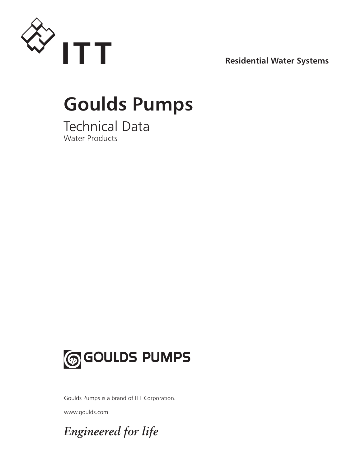

# **Goulds Pumps**

Technical Data Water Products



Goulds Pumps is a brand of ITT Corporation.

www.goulds.com

*Engineered for life*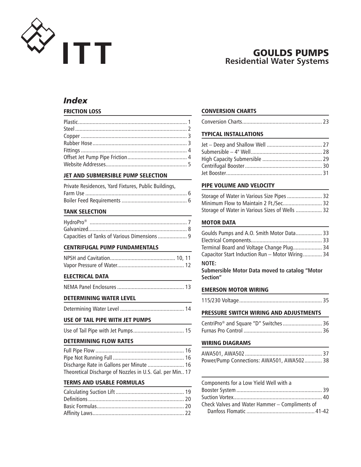

## *Index*

#### Friction loss

#### Jet and submersible pump selection

| Private Residences, Yard Fixtures, Public Buildings, |  |
|------------------------------------------------------|--|
|                                                      |  |
|                                                      |  |

#### Tank Selection

| Capacities of Tanks of Various Dimensions  9 |  |
|----------------------------------------------|--|

#### Centrifugal Pump Fundamentals

#### Electrical Data

#### determining water level

#### Use of Tail pipe with jet pumps

|--|--|

#### Determining flow rates

| Discharge Rate in Gallons per Minute  16                 |  |
|----------------------------------------------------------|--|
| Theoretical Discharge of Nozzles in U.S. Gal. per Min 17 |  |

#### Terms and usable Formulas

#### Conversion charts

|--|--|

#### typical installations

#### pipe volume and velocity

| Storage of Water in Various Size Pipes  32     |  |
|------------------------------------------------|--|
| Minimum Flow to Maintain 2 Ft./Sec 32          |  |
| Storage of Water in Various Sizes of Wells  32 |  |

#### **MOTOR DATA**

| Goulds Pumps and A.O. Smith Motor Data 33       |  |
|-------------------------------------------------|--|
|                                                 |  |
| Terminal Board and Voltage Change Plug 34       |  |
| Capacitor Start Induction Run – Motor Wiring 34 |  |
| <b>NOTE:</b>                                    |  |

**Submersible Motor Data moved to catalog "Motor Section"**

#### EMERSON MOTOR WIRING

|--|--|

#### PRESSURE SWITCH WIRING AND ADJUSTMENTS

| CentriPro <sup>®</sup> and Square "D" Switches 36 |  |
|---------------------------------------------------|--|
|                                                   |  |

#### **WIRING DIAGRAMS**

| Power/Pump Connections: AWA501, AWA502 38 |  |
|-------------------------------------------|--|

| Components for a Low Yield Well with a         |  |
|------------------------------------------------|--|
|                                                |  |
|                                                |  |
| Check Valves and Water Hammer - Compliments of |  |
|                                                |  |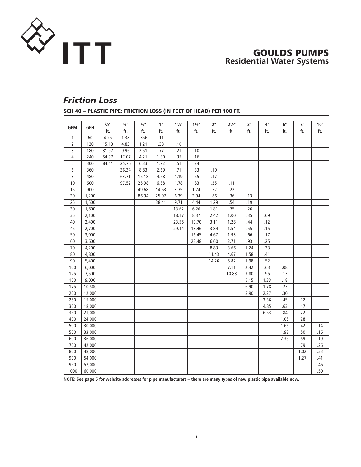

## *Friction Loss*

#### Sch 40 – plastic PIPE: FRICTION LOSS (in feet of head) PER 100 FT.

|                 |            | $\frac{3}{8}$ ll | $1/2$ <sup>11</sup> | $\frac{3}{4}$ <sup>11</sup> | 1 <sup>0</sup> | $1\frac{1}{4}$ | $1\frac{1}{2}$ | 2"    | $2\frac{1}{2}$ " | 3"   | 4"   | 6"   | 8"   | 10 <sup>th</sup> |
|-----------------|------------|------------------|---------------------|-----------------------------|----------------|----------------|----------------|-------|------------------|------|------|------|------|------------------|
| <b>GPM</b>      | <b>GPH</b> | ft.              | ft.                 | ft.                         | ft.            | ft.            | ft.            | ft.   | ft.              | ft.  | ft.  | ft.  | ft.  | ft.              |
| $\mathbf{1}$    | 60         | 4.25             | 1.38                | .356                        | .11            |                |                |       |                  |      |      |      |      |                  |
| $\overline{2}$  | 120        | 15.13            | 4.83                | 1.21                        | .38            | .10            |                |       |                  |      |      |      |      |                  |
| 3               | 180        | 31.97            | 9.96                | 2.51                        | .77            | .21            | .10            |       |                  |      |      |      |      |                  |
| $\overline{4}$  | 240        | 54.97            | 17.07               | 4.21                        | 1.30           | .35            | .16            |       |                  |      |      |      |      |                  |
| 5               | 300        | 84.41            | 25.76               | 6.33                        | 1.92           | .51            | .24            |       |                  |      |      |      |      |                  |
| 6               | 360        |                  | 36.34               | 8.83                        | 2.69           | .71            | .33            | .10   |                  |      |      |      |      |                  |
| 8               | 480        |                  | 63.71               | 15.18                       | 4.58           | 1.19           | .55            | .17   |                  |      |      |      |      |                  |
| 10              | 600        |                  | 97.52               | 25.98                       | 6.88           | 1.78           | .83            | .25   | .11              |      |      |      |      |                  |
| 15              | 900        |                  |                     | 49.68                       | 14.63          | 3.75           | 1.74           | .52   | .22              |      |      |      |      |                  |
| 20              | 1,200      |                  |                     | 86.94                       | 25.07          | 6.39           | 2.94           | .86   | .36              | .13  |      |      |      |                  |
| $\overline{25}$ | 1,500      |                  |                     |                             | 38.41          | 9.71           | 4.44           | 1.29  | .54              | .19  |      |      |      |                  |
| 30              | 1,800      |                  |                     |                             |                | 13.62          | 6.26           | 1.81  | .75              | .26  |      |      |      |                  |
| 35              | 2,100      |                  |                     |                             |                | 18.17          | 8.37           | 2.42  | 1.00             | .35  | .09  |      |      |                  |
| 40              | 2,400      |                  |                     |                             |                | 23.55          | 10.70          | 3.11  | 1.28             | .44  | .12  |      |      |                  |
| 45              | 2,700      |                  |                     |                             |                | 29.44          | 13.46          | 3.84  | 1.54             | .55  | .15  |      |      |                  |
| 50              | 3,000      |                  |                     |                             |                |                | 16.45          | 4.67  | 1.93             | .66  | .17  |      |      |                  |
| 60              | 3,600      |                  |                     |                             |                |                | 23.48          | 6.60  | 2.71             | .93  | .25  |      |      |                  |
| 70              | 4,200      |                  |                     |                             |                |                |                | 8.83  | 3.66             | 1.24 | .33  |      |      |                  |
| 80              | 4,800      |                  |                     |                             |                |                |                | 11.43 | 4.67             | 1.58 | .41  |      |      |                  |
| 90              | 5,400      |                  |                     |                             |                |                |                | 14.26 | 5.82             | 1.98 | .52  |      |      |                  |
| 100             | 6,000      |                  |                     |                             |                |                |                |       | 7.11             | 2.42 | .63  | .08  |      |                  |
| 125             | 7,500      |                  |                     |                             |                |                |                |       | 10.83            | 3.80 | .95  | .13  |      |                  |
| 150             | 9,000      |                  |                     |                             |                |                |                |       |                  | 5.15 | 1.33 | .18  |      |                  |
| 175             | 10,500     |                  |                     |                             |                |                |                |       |                  | 6.90 | 1.78 | .23  |      |                  |
| 200             | 12,000     |                  |                     |                             |                |                |                |       |                  | 8.90 | 2.27 | .30  |      |                  |
| 250             | 15,000     |                  |                     |                             |                |                |                |       |                  |      | 3.36 | .45  | .12  |                  |
| 300             | 18,000     |                  |                     |                             |                |                |                |       |                  |      | 4.85 | .63  | .17  |                  |
| 350             | 21,000     |                  |                     |                             |                |                |                |       |                  |      | 6.53 | .84  | .22  |                  |
| 400             | 24,000     |                  |                     |                             |                |                |                |       |                  |      |      | 1.08 | .28  |                  |
| 500             | 30,000     |                  |                     |                             |                |                |                |       |                  |      |      | 1.66 | .42  | .14              |
| 550             | 33,000     |                  |                     |                             |                |                |                |       |                  |      |      | 1.98 | .50  | .16              |
| 600             | 36,000     |                  |                     |                             |                |                |                |       |                  |      |      | 2.35 | .59  | .19              |
| 700             | 42,000     |                  |                     |                             |                |                |                |       |                  |      |      |      | .79  | .26              |
| 800             | 48,000     |                  |                     |                             |                |                |                |       |                  |      |      |      | 1.02 | .33              |
| 900             | 54,000     |                  |                     |                             |                |                |                |       |                  |      |      |      | 1.27 | .41              |
| 950             | 57,000     |                  |                     |                             |                |                |                |       |                  |      |      |      |      | .46              |
| 1000            | 60,000     |                  |                     |                             |                |                |                |       |                  |      |      |      |      | .50              |

**NOTE: See page 5 for website addresses for pipe manufacturers – there are many types of new plastic pipe available now.**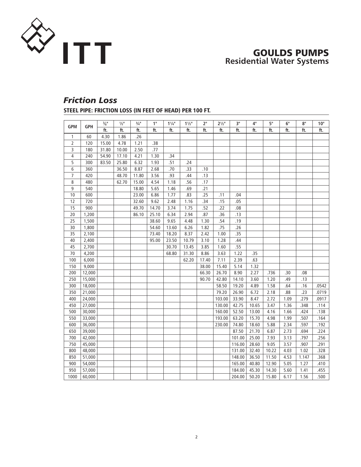

## *Friction Loss*

steel PIPE: FRICTION LOSS (in feet of head) PER 100 FT.

|                |            | $\frac{3}{8}$ " | $1/2$ <sup>11</sup> | $\frac{3}{4}$ <sup>11</sup> | 1 <sup>0</sup> | $1\frac{1}{4}$ | $1\frac{1}{2}$ | 2 <sup>n</sup> | $2\frac{1}{2}$ " | 3"     | 4"    | 5"    | 6"   | 8"    | 10"   |
|----------------|------------|-----------------|---------------------|-----------------------------|----------------|----------------|----------------|----------------|------------------|--------|-------|-------|------|-------|-------|
| <b>GPM</b>     | <b>GPH</b> | ft.             | ft.                 | ft.                         | ft.            | ft.            | ft.            | ft.            | ft.              | ft.    | ft.   | ft.   | ft.  | ft.   | ft.   |
| $\mathbf{1}$   | 60         | 4.30            | 1.86                | .26                         |                |                |                |                |                  |        |       |       |      |       |       |
| $\overline{2}$ | 120        | 15.00           | 4.78                | 1.21                        | .38            |                |                |                |                  |        |       |       |      |       |       |
| 3              | 180        | 31.80           | 10.00               | 2.50                        | .77            |                |                |                |                  |        |       |       |      |       |       |
| 4              | 240        | 54.90           | 17.10               | 4.21                        | 1.30           | .34            |                |                |                  |        |       |       |      |       |       |
| 5              | 300        | 83.50           | 25.80               | 6.32                        | 1.93           | .51            | .24            |                |                  |        |       |       |      |       |       |
| 6              | 360        |                 | 36.50               | 8.87                        | 2.68           | .70            | .33            | .10            |                  |        |       |       |      |       |       |
| $\overline{7}$ | 420        |                 | 48.70               | 11.80                       | 3.56           | .93            | .44            | .13            |                  |        |       |       |      |       |       |
| 8              | 480        |                 | 62.70               | 15.00                       | 4.54           | 1.18           | .56            | .17            |                  |        |       |       |      |       |       |
| 9              | 540        |                 |                     | 18.80                       | 5.65           | 1.46           | .69            | .21            |                  |        |       |       |      |       |       |
| $10$           | 600        |                 |                     | 23.00                       | 6.86           | 1.77           | .83            | .25            | .11              | .04    |       |       |      |       |       |
| 12             | 720        |                 |                     | 32.60                       | 9.62           | 2.48           | 1.16           | .34            | .15              | .05    |       |       |      |       |       |
| 15             | 900        |                 |                     | 49.70                       | 14.70          | 3.74           | 1.75           | .52            | .22              | .08    |       |       |      |       |       |
| 20             | 1,200      |                 |                     | 86.10                       | 25.10          | 6.34           | 2.94           | .87            | .36              | .13    |       |       |      |       |       |
| 25             | 1,500      |                 |                     |                             | 38.60          | 9.65           | 4.48           | 1.30           | .54              | .19    |       |       |      |       |       |
| 30             | 1,800      |                 |                     |                             | 54.60          | 13.60          | 6.26           | 1.82           | .75              | .26    |       |       |      |       |       |
| 35             | 2,100      |                 |                     |                             | 73.40          | 18.20          | 8.37           | 2.42           | 1.00             | .35    |       |       |      |       |       |
| 40             | 2,400      |                 |                     |                             | 95.00          | 23.50          | 10.79          | 3.10           | 1.28             | .44    |       |       |      |       |       |
| 45             | 2,700      |                 |                     |                             |                | 30.70          | 13.45          | 3.85           | 1.60             | .55    |       |       |      |       |       |
| 70             | 4,200      |                 |                     |                             |                | 68.80          | 31.30          | 8.86           | 3.63             | 1.22   | .35   |       |      |       |       |
| 100            | 6,000      |                 |                     |                             |                |                | 62.20          | 17.40          | 7.11             | 2.39   | .63   |       |      |       |       |
| 150            | 9,000      |                 |                     |                             |                |                |                | 38.00          | 15.40            | 5.14   | 1.32  |       |      |       |       |
| 200            | 12,000     |                 |                     |                             |                |                |                | 66.30          | 26.70            | 8.90   | 2.27  | .736  | .30  | .08   |       |
| 250            | 15,000     |                 |                     |                             |                |                |                | 90.70          | 42.80            | 14.10  | 3.60  | 1.20  | .49  | .13   |       |
| 300            | 18,000     |                 |                     |                             |                |                |                |                | 58.50            | 19.20  | 4.89  | 1.58  | .64  | .16   | .0542 |
| 350            | 21,000     |                 |                     |                             |                |                |                |                | 79.20            | 26.90  | 6.72  | 2.18  | .88  | .23   | .0719 |
| 400            | 24,000     |                 |                     |                             |                |                |                |                | 103.00           | 33.90  | 8.47  | 2.72  | 1.09 | .279  | .0917 |
| 450            | 27,000     |                 |                     |                             |                |                |                |                | 130.00           | 42.75  | 10.65 | 3.47  | 1.36 | .348  | .114  |
| 500            | 30,000     |                 |                     |                             |                |                |                |                | 160.00           | 52.50  | 13.00 | 4.16  | 1.66 | .424  | .138  |
| 550            | 33,000     |                 |                     |                             |                |                |                |                | 193.00           | 63.20  | 15.70 | 4.98  | 1.99 | .507  | .164  |
| 600            | 36,000     |                 |                     |                             |                |                |                |                | 230.00           | 74.80  | 18.60 | 5.88  | 2.34 | .597  | .192  |
| 650            | 39,000     |                 |                     |                             |                |                |                |                |                  | 87.50  | 21.70 | 6.87  | 2.73 | .694  | .224  |
| 700            | 42,000     |                 |                     |                             |                |                |                |                |                  | 101.00 | 25.00 | 7.93  | 3.13 | .797  | .256  |
| 750            | 45,000     |                 |                     |                             |                |                |                |                |                  | 116.00 | 28.60 | 9.05  | 3.57 | .907  | .291  |
| 800            | 48,000     |                 |                     |                             |                |                |                |                |                  | 131.00 | 32.40 | 10.22 | 4.03 | 1.02  | .328  |
| 850            | 51,000     |                 |                     |                             |                |                |                |                |                  | 148.00 | 36.50 | 11.50 | 4.53 | 1.147 | .368  |
| 900            | 54,000     |                 |                     |                             |                |                |                |                |                  | 165.00 | 40.80 | 12.90 | 5.05 | 1.27  | .410  |
| 950            | 57,000     |                 |                     |                             |                |                |                |                |                  | 184.00 | 45.30 | 14.30 | 5.60 | 1.41  | .455  |
| 1000           | 60,000     |                 |                     |                             |                |                |                |                |                  | 204.00 | 50.20 | 15.80 | 6.17 | 1.56  | .500  |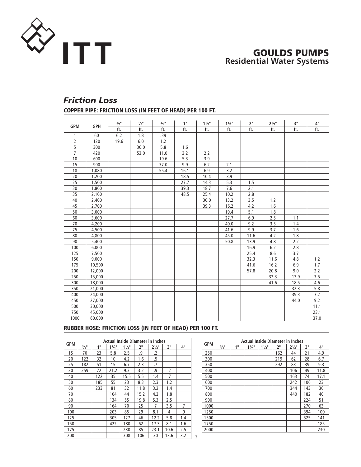

## *Friction Loss*

copper PIPE: FRICTION LOSS (in feet of head) PER 100 FT.

|                |            | $\frac{3}{8}$ ll | $1/2$ <sup>11</sup> | $3/4$ <sup>11</sup> | 1 <sup>n</sup> | $1\frac{1}{4}$ | $1\frac{1}{2}$ | 2 <sup>n</sup> | $2\frac{1}{2}$ " | 3"   | 4"   |
|----------------|------------|------------------|---------------------|---------------------|----------------|----------------|----------------|----------------|------------------|------|------|
| <b>GPM</b>     | <b>GPH</b> | ft.              | ft.                 | ft.                 | ft.            | ft.            | ft.            | ft.            | ft.              | ft.  | ft.  |
| 1              | 60         | 6.2              | 1.8                 | .39                 |                |                |                |                |                  |      |      |
| $\overline{2}$ | 120        | 19.6             | $6.0$               | 1.2                 |                |                |                |                |                  |      |      |
| $\overline{5}$ | 300        |                  | 30.0                | 5.8                 | 1.6            |                |                |                |                  |      |      |
| $\overline{7}$ | 420        |                  | 53.0                | 11.0                | 3.2            | 2.2            |                |                |                  |      |      |
| 10             | 600        |                  |                     | 19.6                | 5.3            | 3.9            |                |                |                  |      |      |
| 15             | 900        |                  |                     | 37.0                | 9.9            | 6.2            | 2.1            |                |                  |      |      |
| 18             | 1,080      |                  |                     | 55.4                | 16.1           | 6.9            | 3.2            |                |                  |      |      |
| 20             | 1,200      |                  |                     |                     | 18.5           | 10.4           | 3.9            |                |                  |      |      |
| 25             | 1,500      |                  |                     |                     | 27.7           | 14.3           | 5.3            | 1.5            |                  |      |      |
| 30             | 1,800      |                  |                     |                     | 39.3           | 18.7           | 7.6            | 2.1            |                  |      |      |
| 35             | 2,100      |                  |                     |                     | 48.5           | 25.4           | 10.2           | 2.8            |                  |      |      |
| 40             | 2,400      |                  |                     |                     |                | 30.0           | 13.2           | 3.5            | 1.2              |      |      |
| 45             | 2,700      |                  |                     |                     |                | 39.3           | 16.2           | 4.2            | 1.6              |      |      |
| 50             | 3,000      |                  |                     |                     |                |                | 19.4           | 5.1            | 1.8              |      |      |
| 60             | 3,600      |                  |                     |                     |                |                | 27.7           | 6.9            | 2.5              | 1.1  |      |
| 70             | 4,200      |                  |                     |                     |                |                | 40.0           | 9.2            | 3.5              | 1.4  |      |
| 75             | 4,500      |                  |                     |                     |                |                | 41.6           | 9.9            | 3.7              | 1.6  |      |
| 80             | 4,800      |                  |                     |                     |                |                | 45.0           | 11.6           | 4.2              | 1.8  |      |
| 90             | 5,400      |                  |                     |                     |                |                | 50.8           | 13.9           | 4.8              | 2.2  |      |
| 100            | 6,000      |                  |                     |                     |                |                |                | 16.9           | 6.2              | 2.8  |      |
| 125            | 7,500      |                  |                     |                     |                |                |                | 25.4           | 8.6              | 3.7  |      |
| 150            | 9,000      |                  |                     |                     |                |                |                | 32.3           | 11.6             | 4.8  | 1.2  |
| 175            | 10,500     |                  |                     |                     |                |                |                | 41.6           | 16.2             | 6.9  | 1.7  |
| 200            | 12,000     |                  |                     |                     |                |                |                | 57.8           | 20.8             | 9.0  | 2.2  |
| 250            | 15,000     |                  |                     |                     |                |                |                |                | 32.3             | 13.9 | 3.5  |
| 300            | 18,000     |                  |                     |                     |                |                |                |                | 41.6             | 18.5 | 4.6  |
| 350            | 21,000     |                  |                     |                     |                |                |                |                |                  | 32.3 | 5.8  |
| 400            | 24,000     |                  |                     |                     |                |                |                |                |                  | 39.3 | 7.2  |
| 450            | 27,000     |                  |                     |                     |                |                |                |                |                  | 44.0 | 9.2  |
| 500            | 30,000     |                  |                     |                     |                |                |                |                |                  |      | 11.1 |
| 750            | 45,000     |                  |                     |                     |                |                |                |                |                  |      | 23.1 |
| 1000           | 60,000     |                  |                     |                     |                |                |                |                |                  |      | 37.0 |

3

### rubber hose: FRICTION LOSS (in feet of head) PER 100 FT.

|            |                             | Actual Inside Diameter in Inches |                |                |      |                  |      |     |  |  |  |  |  |  |  |  |  |  |  |  |  |
|------------|-----------------------------|----------------------------------|----------------|----------------|------|------------------|------|-----|--|--|--|--|--|--|--|--|--|--|--|--|--|
| <b>GPM</b> | $\frac{3}{4}$ <sup>11</sup> | 1"                               | $1\frac{1}{4}$ | $1\frac{1}{2}$ | 2"   | $2\frac{1}{2}$ " | 3"   | 4"  |  |  |  |  |  |  |  |  |  |  |  |  |  |
| 15         | 70                          | 23                               | 5.8            | 2.5            | .9   | .2               |      |     |  |  |  |  |  |  |  |  |  |  |  |  |  |
| 20         | 122                         | 32                               | 10             | 4.2            | 1.6  | .5               |      |     |  |  |  |  |  |  |  |  |  |  |  |  |  |
| 25         | 182                         | 51                               | 15             | 6.7            | 2.3  | .7               |      |     |  |  |  |  |  |  |  |  |  |  |  |  |  |
| 30         | 259                         | 72                               | 21.2           | 9.3            | 3.2  | .9               | .2   |     |  |  |  |  |  |  |  |  |  |  |  |  |  |
| 40         |                             | 122                              | 35             | 15.5           | 5.5  | 1.4              | .7   |     |  |  |  |  |  |  |  |  |  |  |  |  |  |
| 50         |                             | 185                              | 55             | 23             | 8.3  | 2.3              | 1.2  |     |  |  |  |  |  |  |  |  |  |  |  |  |  |
| 60         |                             | 233                              | 81             | 32             | 11.8 | 3.2              | 1.4  |     |  |  |  |  |  |  |  |  |  |  |  |  |  |
| 70         |                             |                                  | 104            | 44             | 15.2 | 4.2              | 1.8  |     |  |  |  |  |  |  |  |  |  |  |  |  |  |
| 80         |                             |                                  | 134            | 55             | 19.8 | 5.3              | 2.5  |     |  |  |  |  |  |  |  |  |  |  |  |  |  |
| 90         |                             |                                  | 164            | 70             | 25   | $\overline{7}$   | 3.5  | .7  |  |  |  |  |  |  |  |  |  |  |  |  |  |
| 100        |                             |                                  | 203            | 85             | 29   | 8.1              | 4    | .9  |  |  |  |  |  |  |  |  |  |  |  |  |  |
| 125        |                             |                                  | 305            | 127            | 46   | 12.2             | 5.8  | 1.4 |  |  |  |  |  |  |  |  |  |  |  |  |  |
| 150        |                             |                                  | 422            | 180            | 62   | 17.3             | 8.1  | 1.6 |  |  |  |  |  |  |  |  |  |  |  |  |  |
| 175        |                             |                                  |                | 230            | 85   | 23.1             | 10.6 | 2.5 |  |  |  |  |  |  |  |  |  |  |  |  |  |
| 200        |                             |                                  |                | 308            | 106  | 30               | 13.6 | 3.2 |  |  |  |  |  |  |  |  |  |  |  |  |  |

|            |                           | <b>Actual Inside Diameter in Inches</b> |                |                |     |           |     |      |  |  |  |
|------------|---------------------------|-----------------------------------------|----------------|----------------|-----|-----------|-----|------|--|--|--|
| <b>GPM</b> | $3/4$ <sup>11</sup><br>1" |                                         | $1\frac{1}{4}$ | $1\frac{1}{2}$ | 2"  | $2^{1/2}$ | 3"  | 4"   |  |  |  |
| 250        |                           |                                         |                |                | 162 | 44        | 21  | 4.9  |  |  |  |
| 300        |                           |                                         |                |                | 219 | 62        | 28  | 6.7  |  |  |  |
| 350        |                           |                                         |                |                | 292 | 83        | 39  | 9.3  |  |  |  |
| 400        |                           |                                         |                |                |     | 106       | 49  | 11.8 |  |  |  |
| 500        |                           |                                         |                |                |     | 163       | 74  | 17.1 |  |  |  |
| 600        |                           |                                         |                |                |     | 242       | 106 | 23   |  |  |  |
| 700        |                           |                                         |                |                |     | 344       | 143 | 30   |  |  |  |
| 800        |                           |                                         |                |                |     | 440       | 182 | 40   |  |  |  |
| 900        |                           |                                         |                |                |     |           | 224 | 51   |  |  |  |
| 1000       |                           |                                         |                |                |     |           | 270 | 63   |  |  |  |
| 1250       |                           |                                         |                |                |     |           | 394 | 100  |  |  |  |
| 1500       |                           |                                         |                |                |     |           | 525 | 141  |  |  |  |
| 1750       |                           |                                         |                |                |     |           |     | 185  |  |  |  |
| 2000       |                           |                                         |                |                |     |           |     | 230  |  |  |  |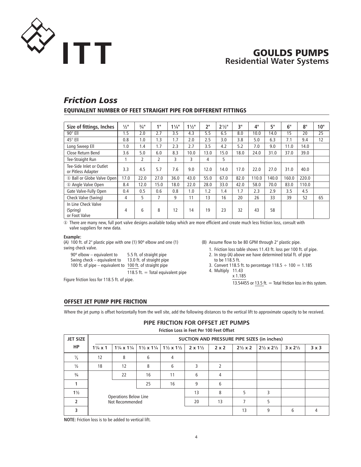

### *Friction Loss*

#### Equivalent number of feet straight pipe for different fittings

| Size of fittings, Inches                         | $\frac{1}{2}$ <sup>11</sup> | $3/4$ <sup>11</sup> | 1"             | $1\frac{1}{4}$ | $1\frac{1}{2}$ | 2"   | $2\frac{1}{2}$ " | 3"   | 4"    | 5"    | 6"    | 8"    | 10" |
|--------------------------------------------------|-----------------------------|---------------------|----------------|----------------|----------------|------|------------------|------|-------|-------|-------|-------|-----|
| $90^\circ$ Ell                                   | 1.5                         | 2.0                 | 2.7            | 3.5            | 4.3            | 5.5  | 6.5              | 8.0  | 10.0  | 14.0  | 15    | 20    | 25  |
| $45^\circ$ Ell                                   | 0.8                         | 1.0                 | 1.3            | 1.7            | 2.0            | 2.5  | 3.0              | 3.8  | 5.0   | 6.3   | 7.1   | 9.4   | 12  |
| Long Sweep Ell                                   | 1.0                         | 1.4                 | 1.7            | 2.3            | 2.7            | 3.5  | 4.2              | 5.2  | 7.0   | 9.0   | 11.0  | 14.0  |     |
| Close Return Bend                                | 3.6                         | 5.0                 | 6.0            | 8.3            | 10.0           | 13.0 | 15.0             | 18.0 | 24.0  | 31.0  | 37.0  | 39.0  |     |
| Tee-Straight Run                                 |                             | 2                   | 2              | 3              | 3              | 4    | 5                |      |       |       |       |       |     |
| Tee-Side Inlet or Outlet<br>or Pitless Adapter   | 3.3                         | 4.5                 | 5.7            | 7.6            | 9.0            | 12.0 | 14.0             | 17.0 | 22.0  | 27.0  | 31.0  | 40.0  |     |
| 1 Ball or Globe Valve Open                       | 17.0                        | 22.0                | 27.0           | 36.0           | 43.0           | 55.0 | 67.0             | 82.0 | 110.0 | 140.0 | 160.0 | 220.0 |     |
| 1 Angle Valve Open                               | 8.4                         | 12.0                | 15.0           | 18.0           | 22.0           | 28.0 | 33.0             | 42.0 | 58.0  | 70.0  | 83.0  | 110.0 |     |
| Gate Valve-Fully Open                            | 0.4                         | 0.5                 | 0.6            | 0.8            | 1.0            | 1.2  | 1.4              | 1.7  | 2.3   | 2.9   | 3.5   | 4.5   |     |
| Check Valve (Swing)                              | 4                           | 5                   | $\overline{7}$ | 9              | 11             | 13   | 16               | 20   | 26    | 33    | 39    | 52    | 65  |
| In Line Check Valve<br>(Spring)<br>or Foot Valve | 4                           | 6                   | 8              | 12             | 14             | 19   | 23               | 32   | 43    | 58    |       |       |     |

① There are many new, full port valve designs available today which are more efficient and create much less friction loss, consult with valve suppliers for new data.

#### **Example:**

(A) 100 ft. of 2" plastic pipe with one (1) 90º elbow and one (1) swing check valve.

| 90° elbow – equivalent to<br>Swing check – equivalent to<br>100 ft. of pipe – equivalent to 100 ft. of straight pipe | 5.5 ft. of straight pipe<br>13.0 ft. of straight pipe |
|----------------------------------------------------------------------------------------------------------------------|-------------------------------------------------------|
|                                                                                                                      | 110 $E + I$ Total counterpart in                      |

118.5 ft.  $=$  Total equivalent pipe

Figure friction loss for 118.5 ft. of pipe.

(B) Assume flow to be 80 GPM through 2" plastic pipe.

- 1. Friction loss table shows 11.43 ft. loss per 100 ft. of pipe.
- 2. In step (A) above we have determined total ft. of pipe to be 118.5 ft.
- 3. Convert 118.5 ft. to percentage  $118.5 \div 100 = 1.185$
- 4. Multiply 11.43 x 1.185

13.54455 or 13.5 ft.  $=$  Total friction loss in this system.

#### OFFSET JET PUMP PIPE FRICTION

Where the jet pump is offset horizontally from the well site, add the following distances to the vertical lift to approximate capacity to be received.

#### **PIPE FRICTION FOR OFFSET JET PUMPS**

**Friction Loss in Feet Per 100 Feet Offset**

| <b>JET SIZE</b> |                         |                                    |    |                                                                   |                         |              |                         | SUCTION AND PRESSURE PIPE SIZES (in inches) |                         |     |
|-----------------|-------------------------|------------------------------------|----|-------------------------------------------------------------------|-------------------------|--------------|-------------------------|---------------------------------------------|-------------------------|-----|
| <b>HP</b>       | $1\frac{1}{4} \times 1$ | $1\frac{1}{4} \times 1\frac{1}{4}$ |    | $1\frac{1}{2}$ x $1\frac{1}{4}$   $1\frac{1}{2}$ x $1\frac{1}{2}$ | $2 \times 1\frac{1}{2}$ | $2 \times 2$ | $2\frac{1}{2} \times 2$ | $2\frac{1}{2} \times 2\frac{1}{2}$          | $3 \times 2\frac{1}{2}$ | 3x3 |
| $\frac{1}{3}$   | 12                      | 8                                  | 6  | 4                                                                 |                         |              |                         |                                             |                         |     |
| $\frac{1}{2}$   | 18                      | 12                                 | 8  | 6                                                                 | 3                       |              |                         |                                             |                         |     |
| $^{3}/_{4}$     |                         | 22                                 | 16 | 11                                                                | 6                       | 4            |                         |                                             |                         |     |
|                 |                         |                                    | 25 | 16                                                                | 9                       | 6            |                         |                                             |                         |     |
| $1\frac{1}{2}$  |                         | <b>Operations Below Line</b>       |    |                                                                   | 13                      | 8            | 5                       | 3                                           |                         |     |
|                 |                         | Not Recommended                    |    |                                                                   | 20                      | 13           |                         |                                             |                         |     |
|                 |                         |                                    |    |                                                                   |                         |              | 13                      | q                                           |                         |     |

**NOTE:** Friction loss is to be added to vertical lift.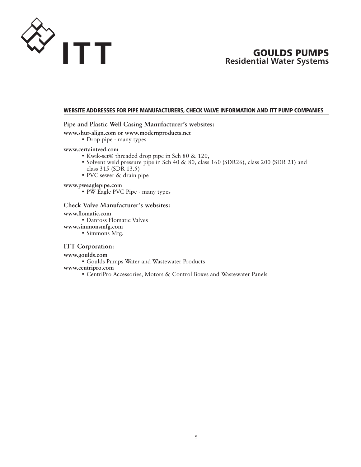

#### Website Addresses for Pipe Manufacturers, Check Valve Information and ITT Pump Companies

#### **Pipe and Plastic Well Casing Manufacturer's websites:**

**www.shur-align.com or www.modernproducts.net** 

 • Drop pipe - many types

**www.certainteed.com**

- • Kwik-set® threaded drop pipe in Sch 80 & 120,
- Solvent weld pressure pipe in Sch 40 & 80, class 160 (SDR26), class 200 (SDR 21) and class 315 (SDR 13.5)
- • PVC sewer & drain pipe

#### **www.pweaglepipe.com**

• PW Eagle PVC Pipe - many types

#### **Check Valve Manufacturer's websites:**

#### **www.flomatic.com**

 • Danfoss Flomatic Valves

- **www.simmonsmfg.com** 
	- • Simmons Mfg.

#### **ITT Corporation:**

#### **www.goulds.com**

 • Goulds Pumps Water and Wastewater Products

**www.centripro.com** 

 • CentriPro Accessories, Motors & Control Boxes and Wastewater Panels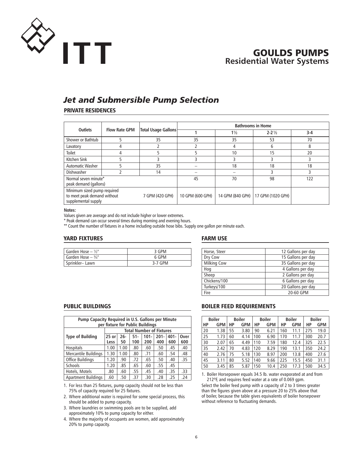

## *Jet and Submersible Pump Selection*

#### PRIVATE RESIDENCES

|                                                                                   |                      |                            | <b>Bathrooms in Home</b> |                  |                    |       |  |  |  |  |  |
|-----------------------------------------------------------------------------------|----------------------|----------------------------|--------------------------|------------------|--------------------|-------|--|--|--|--|--|
| <b>Outlets</b>                                                                    | <b>Flow Rate GPM</b> | <b>Total Usage Gallons</b> |                          | $1\frac{1}{2}$   | $2 - 2\frac{1}{2}$ | $3-4$ |  |  |  |  |  |
| Shower or Bathtub                                                                 |                      | 35                         | 35                       | 35               | 53                 | 70    |  |  |  |  |  |
| Lavatory                                                                          |                      |                            |                          | 4                | 6                  | ਨ     |  |  |  |  |  |
| <b>Toilet</b>                                                                     |                      |                            |                          | 10               | 15                 | 20    |  |  |  |  |  |
| Kitchen Sink                                                                      |                      |                            |                          |                  |                    |       |  |  |  |  |  |
| <b>Automatic Washer</b>                                                           |                      | 35                         |                          | 18               | 18                 | 18    |  |  |  |  |  |
| Dishwasher                                                                        |                      | 14                         |                          |                  | ξ                  |       |  |  |  |  |  |
| Normal seven minute*<br>peak demand (gallons)                                     |                      |                            | 45                       | 70               | 98                 | 122   |  |  |  |  |  |
| Minimum sized pump required<br>to meet peak demand without<br>supplemental supply |                      | 7 GPM (420 GPH)            | 10 GPM (600 GPH)         | 14 GPM (840 GPH) | 17 GPM (1020 GPH)  |       |  |  |  |  |  |

#### **Notes:**

Values given are average and do not include higher or lower extremes.

Garden Hose –  $\frac{1}{2}$ " 3 GPM Garden Hose  $-3/4$ " 6 GPM Sprinkler– Lawn 3-7 GPM

\* Peak demand can occur several times during morning and evening hours.

\*\* Count the number of fixtures in a home including outside hose bibs. Supply one gallon per minute each.

#### yard fixtures

#### farm use

| Horse, Steer       | 12 Gallons per day |
|--------------------|--------------------|
| Dry Cow            | 15 Gallons per day |
| <b>Milking Cow</b> | 35 Gallons per day |
| Hog                | 4 Gallons per day  |
| Sheep              | 2 Gallons per day  |
| Chickens/100       | 6 Gallons per day  |
| Turkeys/100        | 20 Gallons per day |
| Fire               | 20-60 GPM          |
|                    |                    |

#### public buildings

| Pump Capacity Required in U.S. Gallons per Minute |                                  |        |        |         |         |         |      |  |  |  |  |  |
|---------------------------------------------------|----------------------------------|--------|--------|---------|---------|---------|------|--|--|--|--|--|
|                                                   | per fixture for Public Buildings |        |        |         |         |         |      |  |  |  |  |  |
| <b>Total Number of Fixtures</b>                   |                                  |        |        |         |         |         |      |  |  |  |  |  |
| <b>Type of Building</b>                           | $25$ or                          | $26 -$ | $51 -$ | $101 -$ | $201 -$ | $401 -$ | Over |  |  |  |  |  |
|                                                   | Less                             | 50     | 100    | 200     | 400     | 600     | 600  |  |  |  |  |  |
| Hospitals                                         | 1.00                             | 1.00   | .80    | .60     | .50     | .45     | .40  |  |  |  |  |  |
| Mercantile Buildings                              | 1.30                             | 1.00   | .80    | .71     | .60     | .54     | .48  |  |  |  |  |  |
| Office Buildings                                  | 1.20                             | .90    | .72    | .65     | .50     | .40     | .35  |  |  |  |  |  |
| Schools                                           | 1.20                             | .85    | .65    | .60     | .55     | .45     |      |  |  |  |  |  |
| Hotels, Motels                                    | .80                              | .60    | .55    | .45     | .40     | .35     | .33  |  |  |  |  |  |
| <b>Apartment Buildings</b>                        | .60                              | .50    | .37    | .30     | .28     | .25     | .24  |  |  |  |  |  |

1. For less than 25 fixtures, pump capacity should not be less than 75% of capacity required for 25 fixtures.

2. Where additional water is required for some special process, this should be added to pump capacity.

3. Where laundries or swimming pools are to be supplied, add approximately 10% to pump capacity for either.

4. Where the majority of occupants are women, add approximately 20% to pump capacity.

#### boiler feed requirements

|    | <b>Boiler</b> |                  | <b>Boiler</b> |     | <b>Boiler</b> |     | <b>Boiler</b> |     | <b>Boiler</b> |
|----|---------------|------------------|---------------|-----|---------------|-----|---------------|-----|---------------|
| HP | <b>GPM</b>    | <b>GPM</b><br>НP |               | ΗP  | <b>GPM</b>    | НP  | <b>GPM</b>    | НP  | <b>GPM</b>    |
| 20 | 1.38          | 55               | 3.80          | 90  | 6.21          | 160 | 11.1          | 275 | 19.0          |
| 25 | 1.73          | 60               | 4.14          | 100 | 6.90          | 170 | 11.7          | 300 | 20.7          |
| 30 | 2.07          | 65               | 4.49          | 110 | 7.59          | 180 | 12.4          | 325 | 22.5          |
| 35 | 2.42          | 70               | 4.83          | 120 | 8.29          | 190 | 13.1          | 350 | 24.2          |
| 40 | 2.76          | 75               | 5.18          | 130 | 8.97          | 200 | 13.8          | 400 | 27.6          |
| 45 | 3.11          | 80               | 5.52          | 140 | 9.66          | 225 | 15.5          | 450 | 31.1          |
| 50 | 3.45          | 85               | 5.87          | 150 | 10.4          | 250 | 17.3          | 500 | 34.5          |

1. Boiler Horsepower equals 34.5 lb. water evaporated at and from 212ºF, and requires feed water at a rate of 0.069 gpm.

Select the boiler feed pump with a capacity of 2 to 3 times greater than the figures given above at a pressure 20 to 25% above that of boiler, because the table gives equivalents of boiler horsepower without reference to fluctuating demands.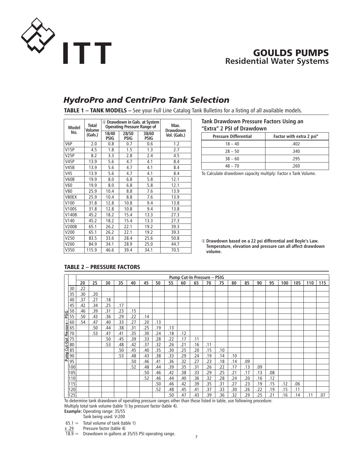

## *HydroPro and CentriPro Tank Selection*

TABLE 1 - TANK MODELS - See your Full Line Catalog Tank Bulletins for a listing of all available models.

| Model            | Total<br>Volume |                      | <b>Operating Pressure Range of</b> | 1 Drawdown in Gals. at System | Max.<br>Drawdown |
|------------------|-----------------|----------------------|------------------------------------|-------------------------------|------------------|
| No.              | (Gals.)         | 18/40<br><b>PSIG</b> | 28/50<br><b>PSIG</b>               | 38/60<br><b>PSIG</b>          | Vol. (Gals.)     |
| V <sub>6</sub> P | 2.0             | 0.8                  | 0.7                                | 0.6                           | 1.2              |
| V15P             | 4.5             | 1.8<br>1.5           |                                    | 1.3                           | 2.7              |
| V25P             | 8.2             | 3.3                  | 2.8                                | 2.4                           | 4.5              |
| <b>V45P</b>      | 13.9            | 5.6                  | 4.7                                | 4.1                           | 8.4              |
| <b>V45B</b>      | 13.9            | 5.6                  | 4.7                                | 4.1                           | 8.4              |
| V45              | 13.9            | 5.6                  | 4.7                                | 4.1                           | 8.4              |
| V60B             | 19.9            | 8.0                  | 6.8                                | 5.8                           | 12.1             |
| V60              | 19.9            | 8.0                  | 6.8                                | 5.8                           | 12.1             |
| V80              | 25.9            | 10.4                 | 8.8                                | 7.6                           | 13.9             |
| V80EX            | 25.9            | 10.4                 | 8.8                                | 7.6                           | 13.9             |
| V100             | 31.8            | 12.8                 | 10.8                               | 9.4                           | 13.8             |
| V100S            | 31.8            | 12.8                 | 10.8                               | 9.4                           | 13.8             |
| <b>V140B</b>     | 45.2            | 18.2                 | 15.4                               | 13.3                          | 27.3             |
| V140             | 45.2            | 18.2                 | 15.4                               | 13.3                          | 27.3             |
| <b>V200B</b>     | 65.1            | 26.2                 | 22.1                               | 19.2                          | 39.3             |
| V200             | 65.1            | 26.2                 | 22.1                               | 19.2                          | 39.3             |
| V250             | 83.5            | 33.6                 | 28.4                               | 25.6                          | 50.8             |
| V260             | 84.9            | 34.1                 | 28.9                               | 25.0                          | 44.7             |
| V350<br>115.9    |                 | 46.6                 | 39.4                               | 34.1                          | 70.5             |

#### **Tank Drawdown Pressure Factors Using an "Extra" 2 PSI of Drawdown**

| <b>Pressure Differential</b> | Factor with extra 2 psi* |
|------------------------------|--------------------------|
| $18 - 40$                    | .402                     |
| $28 - 50$                    | .340                     |
| $38 - 60$                    | .295                     |
| $48 - 70$                    | .260                     |

To Calculate drawdown capacity multiply: Factor x Tank Volume.

① **Drawdown based on a 22 psi differential and Boyle's Law. Temperature, elevation and pressure can all affect drawdown volume.**

#### table 2 – pressure factors

|                             | Pump Cut-In Pressure - PSIG                               |     |                                                                                                                    |     |     |     |     |     |     |     |     |     |     |     |     |     |     |     |     |     |
|-----------------------------|-----------------------------------------------------------|-----|--------------------------------------------------------------------------------------------------------------------|-----|-----|-----|-----|-----|-----|-----|-----|-----|-----|-----|-----|-----|-----|-----|-----|-----|
|                             | 20                                                        | 25  | 30                                                                                                                 | 35  | 40  | 45  | 50  | 55  | 60  | 65  | 70  | 75  | 80  | 85  | 90  | 95  | 100 | 105 | 110 | 115 |
| 30                          | .22                                                       |     |                                                                                                                    |     |     |     |     |     |     |     |     |     |     |     |     |     |     |     |     |     |
| 35                          | .30                                                       | .20 |                                                                                                                    |     |     |     |     |     |     |     |     |     |     |     |     |     |     |     |     |     |
| 40                          | .37                                                       | .27 | .18                                                                                                                |     |     |     |     |     |     |     |     |     |     |     |     |     |     |     |     |     |
| 45                          | .42                                                       | .34 | .25                                                                                                                | .17 |     |     |     |     |     |     |     |     |     |     |     |     |     |     |     |     |
| 50                          | .46                                                       | .39 | .31                                                                                                                | .23 | .15 |     |     |     |     |     |     |     |     |     |     |     |     |     |     |     |
| PSIG<br>55                  | .50                                                       | .43 | .36                                                                                                                | .29 | .22 | .14 |     |     |     |     |     |     |     |     |     |     |     |     |     |     |
| $\overline{60}$             | .54                                                       | .47 | .40                                                                                                                | .33 | .27 | .20 | .13 |     |     |     |     |     |     |     |     |     |     |     |     |     |
| $\overline{65}$             |                                                           | .50 | .44                                                                                                                | .38 | .31 | .25 | .19 | .13 |     |     |     |     |     |     |     |     |     |     |     |     |
| Pump Cut-Out Pressure<br>70 |                                                           | .53 | .47                                                                                                                | .41 | .35 | .30 | .24 | .18 | .12 |     |     |     |     |     |     |     |     |     |     |     |
| 75                          |                                                           |     | .50                                                                                                                | .45 | .39 | .33 | .28 | .22 | .17 | .11 |     |     |     |     |     |     |     |     |     |     |
| 80                          |                                                           |     | .53                                                                                                                | .48 | .42 | .37 | .32 | .26 | .21 | .16 | .11 |     |     |     |     |     |     |     |     |     |
| 85                          |                                                           |     |                                                                                                                    | .50 | .45 | .40 | .35 | .30 | .25 | .20 | .15 | .10 |     |     |     |     |     |     |     |     |
| 90                          |                                                           |     |                                                                                                                    | .53 | .48 | .43 | .38 | .33 | .29 | .24 | .19 | .14 | .10 |     |     |     |     |     |     |     |
| $\frac{1}{95}$              |                                                           |     |                                                                                                                    |     | .50 | .46 | .41 | .36 | .32 | .27 | .23 | .18 | .14 | .09 |     |     |     |     |     |     |
| 100                         |                                                           |     |                                                                                                                    |     | .52 | .48 | .44 | .39 | .35 | .31 | .26 | .22 | .17 | .13 | .09 |     |     |     |     |     |
| 105                         |                                                           |     |                                                                                                                    |     |     | .50 | .46 | .42 | .38 | .33 | .29 | .25 | .21 | .17 | .13 | .08 |     |     |     |     |
| 110                         |                                                           |     |                                                                                                                    |     |     | .52 | .46 | .44 | .40 | .36 | .32 | .28 | .24 | .20 | .16 | .12 |     |     |     |     |
| 115                         |                                                           |     |                                                                                                                    |     |     |     | .50 | .46 | .42 | .39 | .35 | .31 | .27 | .23 | .19 | .15 | .12 | .06 |     |     |
| 120                         |                                                           |     |                                                                                                                    |     |     |     | .52 | .48 | .45 | .41 | .37 | .33 | .30 | .26 | .22 | .19 | .15 | .11 |     |     |
| 125                         |                                                           |     |                                                                                                                    |     |     |     |     | .50 | .47 | .43 | .39 | .36 | .32 | .29 | .25 | .21 | .16 | .14 | .11 | .07 |
|                             |                                                           |     | To determine tank drawdown of operating pressure ranges other than those listed in table, use following procedure: |     |     |     |     |     |     |     |     |     |     |     |     |     |     |     |     |     |
|                             |                                                           |     | Multiply total tank volume (table 1) by pressure factor (table 4).                                                 |     |     |     |     |     |     |     |     |     |     |     |     |     |     |     |     |     |
|                             | Example: Operating range: 35/55<br>Tank being used: V-200 |     |                                                                                                                    |     |     |     |     |     |     |     |     |     |     |     |     |     |     |     |     |     |
|                             | Total volume of tank (table 1)<br>$65.1 =$                |     |                                                                                                                    |     |     |     |     |     |     |     |     |     |     |     |     |     |     |     |     |     |
| x.29                        | Pressure factor (table 4)                                 |     |                                                                                                                    |     |     |     |     |     |     |     |     |     |     |     |     |     |     |     |     |     |
| $18.9 =$                    | Drawdown in gallons at 35/55 PSI operating range.         |     |                                                                                                                    |     |     |     |     |     |     |     |     |     |     |     |     |     |     |     |     |     |

 $x \cdot 29$ <br> **x** .29 Pressure factor (table 4)<br>  $x \cdot 78.9$  Pressure factor (table 4)<br> **x** .29 Drawdown in gallons at 35/55 PSI operating range.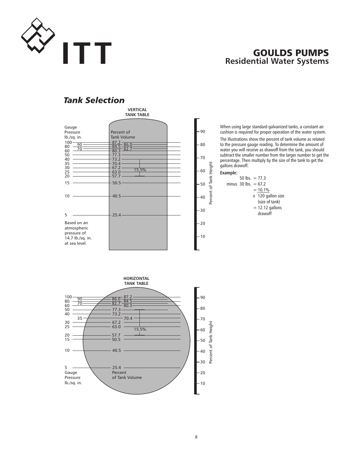

### *Tank Selection*

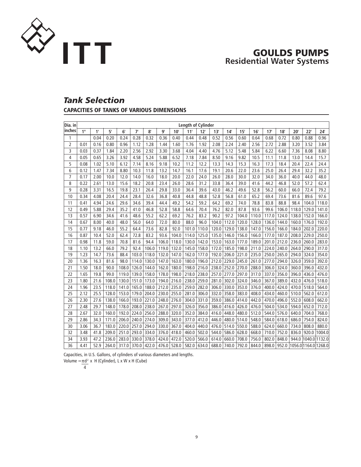

## *Tank Selection*

#### capacities of tanks of various dimensions

| Dia. in        |                |      |       |                |       |                |       |                 | <b>Length of Cylinder</b> |                 |       |       |       |       |       |                 |              |       |                     |
|----------------|----------------|------|-------|----------------|-------|----------------|-------|-----------------|---------------------------|-----------------|-------|-------|-------|-------|-------|-----------------|--------------|-------|---------------------|
| inches         | 1 <sup>0</sup> | 1'   | 5'    | 6 <sup>1</sup> | 7'    | 8 <sup>1</sup> | 9'    | 10 <sup>1</sup> | 11'                       | 12 <sup>1</sup> | 13'   | 14'   | 15'   | 16'   | 17'   | 18 <sup>1</sup> | $20^{\circ}$ | 22'   | 24'                 |
| 1              |                | 0.04 | 0.20  | 0.24           | 0.28  | 0.32           | 0.36  | 0.40            | 0.44                      | 0.48            | 0.52  | 0.56  | 0.60  | 0.64  | 0.68  | 0.72            | 0.80         | 0.88  | 0.96                |
| 2              | 0.01           | 0.16 | 0.80  | 0.96           | 1.12  | 1.28           | 1.44  | 1.60            | 1.76                      | 1.92            | 2.08  | 2.24  | 2.40  | 2.56  | 2.72  | 2.88            | 3.20         | 3.52  | 3.84                |
| 3              | 0.03           | 0.37 | 1.84  | 2.20           | 2.56  | 2.92           | 3.30  | 3.68            | 4.04                      | 4.40            | 4.76  | 5.12  | 5.48  | 5.84  | 6.22  | 6.60            | 7.36         | 8.08  | 8.80                |
| 4              | 0.05           | 0.65 | 3.26  | 3.92           | 4.58  | 5.24           | 5.88  | 6.52            | 7.18                      | 7.84            | 8.50  | 9.16  | 9.82  | 10.5  | 11.1  | 11.8            | 13.0         | 14.4  | 15.7                |
| 5              | 0.08           | 1.02 | 5.10  | 6.12           | 7.14  | 8.16           | 9.18  | 10.2            | 11.2                      | 12.2            | 13.3  | 14.3  | 15.3  | 16.3  | 17.3  | 18.4            | 20.4         | 22.4  | 24.4                |
| 6              | 0.12           | 1.47 | 7.34  | 8.80           | 10.3  | 11.8           | 13.2  | 14.7            | 16.1                      | 17.6            | 19.1  | 20.6  | 22.0  | 23.6  | 25.0  | 26.4            | 29.4         | 32.2  | 35.2                |
| $\overline{7}$ | 0.17           | 2.00 | 10.0  | 12.0           | 14.0  | 16.0           | 18.0  | 20.0            | 22.0                      | 24.0            | 26.0  | 28.0  | 30.0  | 32.0  | 34.0  | 36.0            | 40.0         | 44.0  | 48.0                |
| 8              | 0.22           | 2.61 | 13.0  | 15.6           | 18.2  | 20.8           | 23.4  | 26.0            | 28.6                      | 31.2            | 33.8  | 36.4  | 39.0  | 41.6  | 44.2  | 46.8            | 52.0         | 57.2  | 62.4                |
| 9              | 0.28           | 3.31 | 16.5  | 19.8           | 23.1  | 26.4           | 29.8  | 33.0            | 36.4                      | 39.6            | 43.0  | 46.2  | 49.6  | 52.8  | 56.2  | 60.0            | 66.0         | 72.4  | 79.2                |
| 10             | 0.34           | 4.08 | 20.4  | 24.4           | 28.4  | 32.6           | 36.8  | 40.8            | 44.8                      | 48.8            | 52.8  | 56.8  | 61.0  | 65.2  | 69.4  | 73.6            | 81.6         | 89.6  | 97.6                |
| 11             | 0.41           | 4.94 | 24.6  | 29.6           | 34.6  | 39.4           | 44.4  | 49.2            | 54.2                      | 59.2            | 64.2  | 69.2  | 74.0  | 78.8  | 83.8  | 88.8            | 98.4         | 104.0 | 118.0               |
| 12             | 0.49           | 5.88 | 29.4  | 35.2           | 41.0  | 46.8           | 52.8  | 58.8            | 64.6                      | 70.4            | 76.2  | 82.0  | 87.8  | 93.6  | 99.6  | 106.0           | 118.0        | 129.0 | 141.0               |
| 13             | 0.57           | 6.90 | 34.6  | 41.6           | 48.6  | 55.2           | 62.2  | 69.2            | 76.2                      | 83.2            | 90.2  | 97.2  | 104.0 | 110.0 | 117.0 | 124.0           | 138.0        | 152.0 | 166.0               |
| 14             | 0.67           | 8.00 | 40.0  | 48.0           | 56.0  | 64.0           | 72.0  | 80.0            | 88.0                      | 96.0            | 104.0 | 112.0 | 120.0 | 128.0 | 136.0 | 144.0           | 160.0        | 176.0 | 192.0               |
| 15             | 0.77           | 9.18 | 46.0  | 55.2           | 64.4  | 73.6           | 82.8  | 92.0            | 101.0                     | 110.0           | 120.0 | 129.0 | 138.0 | 147.0 | 156.0 | 166.0           | 184.0        | 202.0 | 220.0               |
| 16             | 0.87           | 10.4 | 52.0  | 62.4           | 72.8  | 83.2           | 93.6  | 104.0           | 114.0                     | 125.0           | 135.0 | 146.0 | 156.0 | 166.0 | 177.0 | 187.0           | 208.0        | 229.0 | 250.0               |
| 17             | 0.98           | 11.8 | 59.0  | 70.8           | 81.6  | 94.4           | 106.0 | 118.0           | 130.0                     | 142.0           | 153.0 | 163.0 | 177.0 | 189.0 | 201.0 | 212.0           | 236.0        | 260.0 | 283.0               |
| 18             | 1.10           | 13.2 | 66.0  | 79.2           | 92.4  | 106.0          | 119.0 | 132.0           | 145.0                     | 158.0           | 172.0 | 185.0 | 198.0 | 211.0 | 224.0 | 240.0           | 264.0        | 290.0 | 317.0               |
| 19             | 1.23           | 14.7 | 73.6  | 88.4           | 103.0 | 118.0          | 132.0 | 147.0           | 162.0                     | 177.0           | 192.0 | 206.0 | 221.0 | 235.0 | 250.0 | 265.0           | 294.0        | 324.0 | 354.0               |
| 20             | 1.36           | 16.3 | 81.6  | 98.0           | 114.0 | 130.0          | 147.0 | 163.0           | 180.0                     | 196.0           | 212.0 | 229.0 | 245.0 | 261.0 | 277.0 | 294.0           | 326.0        | 359.0 | 392.0               |
| 21             | 1.50           | 18.0 | 90.0  | 108.0          | 126.0 | 144.0          | 162.0 | 180.0           | 198.0                     | 216.0           | 238.0 | 252.0 | 270.0 | 288.0 | 306.0 | 324.0           | 360.0        | 396.0 | 432.0               |
| 22             | 1.65           | 19.8 | 99.0  | 119.0          | 139.0 | 158.0          | 178.0 | 198.0           | 218.0                     | 238.0           | 257.0 | 277.0 | 297.0 | 317.0 | 337.0 | 356.0           | 396.0        | 436.0 | 476.0               |
| 23             | 1.80           | 21.6 | 108.0 | 130.0          | 151.0 | 173.0          | 194.0 | 216.0           | 238.0                     | 259.0           | 281.0 | 302.0 | 324.0 | 346.0 | 367.0 | 389.0           | 432.0        | 476.0 | 518.0               |
| 24             | 1.96           | 23.5 | 118.0 | 141.0          | 165.0 | 188.0          | 212.0 | 235.0           | 259.0                     | 282.0           | 306.0 | 330.0 | 353.0 | 376.0 | 400.0 | 424.0           | 470.0        | 518.0 | 564.0               |
| 25             | 2.12           | 25.5 | 128.0 | 153.0          | 179.0 | 204.0          | 230.0 | 255.0           | 281.0                     | 306.0           | 332.0 | 358.0 | 383.0 | 408.0 | 434.0 | 460.0           | 510.0        | 562.0 | 612.0               |
| 26             | 2.30           | 27.6 | 138.0 | 166.0          | 193.0 | 221.0          | 248.0 | 276.0           | 304.0                     | 331.0           | 359.0 | 386.0 | 414.0 | 442.0 | 470.0 | 496.0           | 552.0        | 608.0 | 662.0               |
| 27             | 2.48           | 29.7 | 148.0 | 178.0          | 208.0 | 238.0          | 267.0 | 297.0           | 326.0                     | 356.0           | 386.0 | 416.0 | 426.0 | 476.0 | 504.0 | 534.0           | 594.0        | 652.0 | 712.0               |
| 28             | 2.67           | 32.0 | 160.0 | 192.0          | 224.0 | 256.0          | 288.0 | 320.0           | 352.0                     | 384.0           | 416.0 | 448.0 | 480.0 | 512.0 | 544.0 | 576.0           | 640.0        | 704.0 | 768.0               |
| 29             | 2.86           | 34.3 | 171.0 | 206.0          | 240.0 | 274.0          | 309.0 | 343.0           | 377.0                     | 412.0           | 446.0 | 480.0 | 514.0 | 548.0 | 584.0 | 618.0           | 686.0        | 754.0 | 824.0               |
| 30             | 3.06           | 36.7 | 183.0 | 220.0          | 257.0 | 294.0          | 330.0 | 367.0           | 404.0                     | 440.0           | 476.0 | 514.0 | 550.0 | 588.0 | 624.0 | 660.0           | 734.0        | 808.0 | 880.0               |
| 32             | 3.48           | 41.8 | 209.0 | 251.0          | 293.0 | 334.0          | 376.0 | 418.0           | 460.0                     | 502.0           | 544.0 | 586.0 | 628.0 | 668.0 | 710.0 | 752.0           | 836.0        | 920.0 | 1004.0              |
| 34             | 3.93           | 47.2 | 236.0 | 283.0          | 330.0 | 378.0          | 424.0 | 472.0           | 520.0                     | 566.0           | 614.0 | 660.0 | 708.0 | 756.0 | 802.0 | 848.0           | 944.0        |       | 1040.0 1132.0       |
| 36             | 4.41           | 52.9 | 264.0 | 317.0          | 370.0 | 422.0          | 476.0 | 528.0           | 582.0 634.0               |                 | 688.0 | 740.0 | 792.0 | 844.0 | 898.0 | 952.0           |              |       | 1056.0 164.0 1268.0 |

Capacities, in U.S. Gallons, of cylinders of various diameters and lengths.

Volume  $=\pi d^2$  x H (Cylinder), L x W x H (Cube)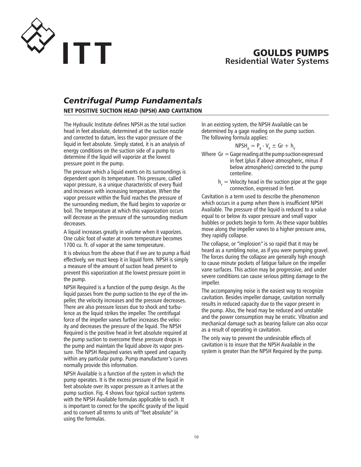

### *Centrifugal Pump Fundamentals*

net positive suction head (NPSH) and cavitation

The Hydraulic Institute defines NPSH as the total suction head in feet absolute, determined at the suction nozzle and corrected to datum, less the vapor pressure of the liquid in feet absolute. Simply stated, it is an analysis of energy conditions on the suction side of a pump to determine if the liquid will vaporize at the lowest pressure point in the pump.

The pressure which a liquid exerts on its surroundings is dependent upon its temperature. This pressure, called vapor pressure, is a unique characteristic of every fluid and increases with increasing temperature. When the vapor pressure within the fluid reaches the pressure of the surrounding medium, the fluid begins to vaporize or boil. The temperature at which this vaporization occurs will decrease as the pressure of the surrounding medium decreases.

A liquid increases greatly in volume when it vaporizes. One cubic foot of water at room temperature becomes 1700 cu. ft. of vapor at the same temperature.

It is obvious from the above that if we are to pump a fluid effectively, we must keep it in liquid form. NPSH is simply a measure of the amount of suction head present to prevent this vaporization at the lowest pressure point in the pump.

NPSH Required is a function of the pump design. As the liquid passes from the pump suction to the eye of the impeller, the velocity increases and the pressure decreases. There are also pressure losses due to shock and turbulence as the liquid strikes the impeller. The centrifugal force of the impeller vanes further increases the velocity and decreases the pressure of the liquid. The NPSH Required is the positive head in feet absolute required at the pump suction to overcome these pressure drops in the pump and maintain the liquid above its vapor pressure. The NPSH Required varies with speed and capacity within any particular pump. Pump manufacturer's curves normally provide this information.

NPSH Available is a function of the system in which the pump operates. It is the excess pressure of the liquid in feet absolute over its vapor pressure as it arrives at the pump suction. Fig. 4 shows four typical suction systems with the NPSH Available formulas applicable to each. It is important to correct for the specific gravity of the liquid and to convert all terms to units of "feet absolute" in using the formulas.

In an existing system, the NPSH Available can be determined by a gage reading on the pump suction. The following formula applies:

$$
NPSH_{A} = P_{B} - V_{P} \pm Gr + h_{V}
$$

- Where  $Gr = G$ age reading at the pump suction expressed in feet (plus if above atmospheric, minus if below atmospheric) corrected to the pump centerline.
	- $h_{v}$  = Velocity head in the suction pipe at the gage connection, expressed in feet.

Cavitation is a term used to describe the phenomenon which occurs in a pump when there is insufficient NPSH Available. The pressure of the liquid is reduced to a value equal to or below its vapor pressure and small vapor bubbles or pockets begin to form. As these vapor bubbles move along the impeller vanes to a higher pressure area, they rapidly collapse.

The collapse, or "implosion" is so rapid that it may be heard as a rumbling noise, as if you were pumping gravel. The forces during the collapse are generally high enough to cause minute pockets of fatigue failure on the impeller vane surfaces. This action may be progressive, and under severe conditions can cause serious pitting damage to the impeller.

The accompanying noise is the easiest way to recognize cavitation. Besides impeller damage, cavitation normally results in reduced capacity due to the vapor present in the pump. Also, the head may be reduced and unstable and the power consumption may be erratic. Vibration and mechanical damage such as bearing failure can also occur as a result of operating in cavitation.

The only way to prevent the undesirable effects of cavitation is to insure that the NPSH Available in the system is greater than the NPSH Required by the pump.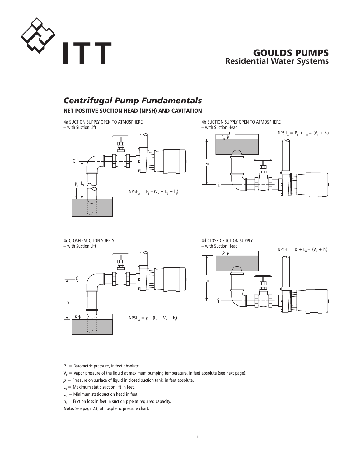

## *Centrifugal Pump Fundamentals*

net positive suction head (NPSH) and cavitation

4a SUCTION SUPPLY OPEN TO ATMOSPHERE – with Suction Lift









- $P_{\rm B} =$  Barometric pressure, in feet absolute.
- $\rm V_{_p} =$  Vapor pressure of the liquid at maximum pumping temperature, in feet absolute (see next page).
- $p =$  Pressure on surface of liquid in closed suction tank, in feet absolute.
- $L<sub>s</sub>$  = Maximum static suction lift in feet.
- $\mathsf{L}_{_{\mathsf{H}}} =$  Minimum static suction head in feet.
- ${\sf h}_{_{\!f}}$   $=$  Friction loss in feet in suction pipe at required capacity.

**Note:** See page 23, atmospheric pressure chart.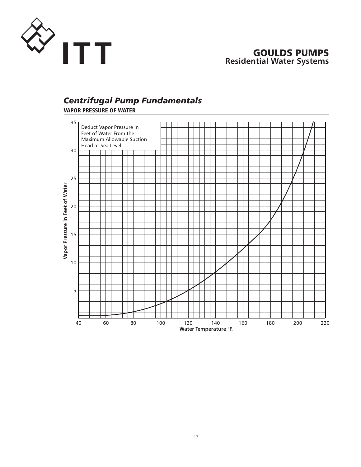

## *Centrifugal Pump Fundamentals*

vapor pressure of water

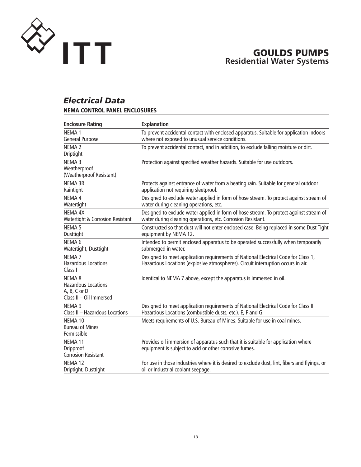

## *Electrical Data*

nema control panel enclosures

| <b>Enclosure Rating</b>                                                                    | <b>Explanation</b>                                                                                                                                                     |
|--------------------------------------------------------------------------------------------|------------------------------------------------------------------------------------------------------------------------------------------------------------------------|
| NFMA <sub>1</sub>                                                                          | To prevent accidental contact with enclosed apparatus. Suitable for application indoors                                                                                |
| General Purpose                                                                            | where not exposed to unusual service conditions.                                                                                                                       |
| NEMA <sub>2</sub><br>Driptight                                                             | To prevent accidental contact, and in addition, to exclude falling moisture or dirt.                                                                                   |
| NEMA <sub>3</sub><br>Weatherproof<br>(Weatherproof Resistant)                              | Protection against specified weather hazards. Suitable for use outdoors.                                                                                               |
| NFMA 3R                                                                                    | Protects against entrance of water from a beating rain. Suitable for general outdoor                                                                                   |
| Raintight                                                                                  | application not requiring sleetproof.                                                                                                                                  |
| NEMA4                                                                                      | Designed to exclude water applied in form of hose stream. To protect against stream of                                                                                 |
| Watertight                                                                                 | water during cleaning operations, etc.                                                                                                                                 |
| NEMA 4X                                                                                    | Designed to exclude water applied in form of hose stream. To protect against stream of                                                                                 |
| Watertight & Corrosion Resistant                                                           | water during cleaning operations, etc. Corrosion Resistant.                                                                                                            |
| NEMA <sub>5</sub>                                                                          | Constructed so that dust will not enter enclosed case. Being replaced in some Dust Tight                                                                               |
| Dusttight                                                                                  | equipment by NEMA 12.                                                                                                                                                  |
| NEMA <sub>6</sub>                                                                          | Intended to permit enclosed apparatus to be operated successfully when temporarily                                                                                     |
| Watertight, Dusttight                                                                      | submerged in water.                                                                                                                                                    |
| NEMA <sub>7</sub><br><b>Hazardous Locations</b><br>Class I                                 | Designed to meet application requirements of National Electrical Code for Class 1,<br>Hazardous Locations (explosive atmospheres). Circuit interruption occurs in air. |
| NFMA <sub>8</sub><br><b>Hazardous Locations</b><br>A, B, C or D<br>Class II - Oil Immersed | Identical to NEMA 7 above, except the apparatus is immersed in oil.                                                                                                    |
| NFMA 9                                                                                     | Designed to meet application requirements of National Electrical Code for Class II                                                                                     |
| Class II - Hazardous Locations                                                             | Hazardous Locations (combustible dusts, etc.). E, F and G.                                                                                                             |
| NFMA 10<br><b>Bureau of Mines</b><br>Permissible                                           | Meets requirements of U.S. Bureau of Mines. Suitable for use in coal mines.                                                                                            |
| NEMA <sub>11</sub><br>Dripproof<br><b>Corrosion Resistant</b>                              | Provides oil immersion of apparatus such that it is suitable for application where<br>equipment is subject to acid or other corrosive fumes.                           |
| NEMA <sub>12</sub>                                                                         | For use in those industries where it is desired to exclude dust, lint, fibers and flyings, or                                                                          |
| Driptight, Dusttight                                                                       | oil or Industrial coolant seepage.                                                                                                                                     |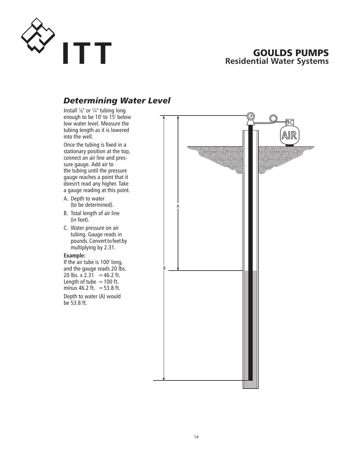

### *Determining Water Level*

Install 1 ⁄8" or ¼" tubing long enough to be 10' to 15' below low water level. Measure the tubing length as it is lowered into the well.

Once the tubing is fixed in a stationary position at the top, connect an air line and pressure gauge. Add air to the tubing until the pressure gauge reaches a point that it doesn't read any higher. Take a gauge reading at this point.

- A. Depth to water (to be determined).
- B. Total length of air line (in feet).
- C. Water pressure on air tubing. Gauge reads in pounds. Convert to feet by multiplying by 2.31.

#### **Example:**

If the air tube is 100' long, and the gauge reads 20 lbs. 20 lbs.  $x \overline{2.31} = 46.2$  ft. Length of tube  $=100$  ft. minus 46.2 ft.  $=$  53.8 ft. Depth to water (A) would be 53.8 ft.

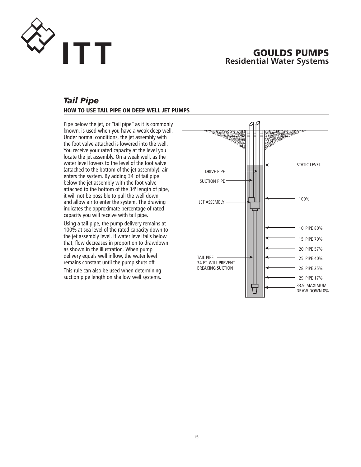

### *Tail Pipe*

#### how to use tail pipe on deep well jet pumps

Pipe below the jet, or "tail pipe" as it is commonly known, is used when you have a weak deep well. Under normal conditions, the jet assembly with the foot valve attached is lowered into the well. You receive your rated capacity at the level you locate the jet assembly. On a weak well, as the water level lowers to the level of the foot valve (attached to the bottom of the jet assembly), air enters the system. By adding 34' of tail pipe below the jet assembly with the foot valve attached to the bottom of the 34' length of pipe, it will not be possible to pull the well down and allow air to enter the system. The drawing indicates the approximate percentage of rated capacity you will receive with tail pipe.

Using a tail pipe, the pump delivery remains at 100% at sea level of the rated capacity down to the jet assembly level. If water level falls below that, flow decreases in proportion to drawdown as shown in the illustration. When pump delivery equals well inflow, the water level remains constant until the pump shuts off.

This rule can also be used when determining suction pipe length on shallow well systems.

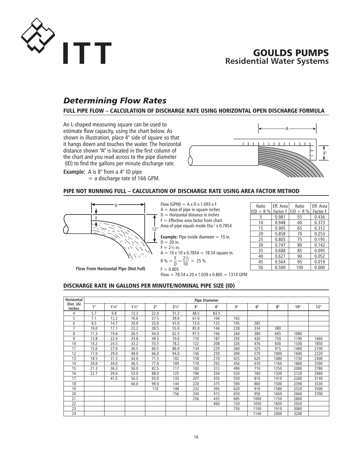

**ITT** GOULDS PUMPS **Residential Water Systems**

### *Determining Flow Rates*

full pipe flow – calculation of discharge rate using horizontal open discharge formula

An L-shaped measuring square can be used to estimate flow capacity, using the chart below. As shown in illustration, place 4" side of square so that it hangs down and touches the water. The horizontal distance shown "A" is located in the first column of the chart and you read across to the pipe diameter (ID) to find the gallons per minute discharge rate.

**Example:** A is 8" from a 4" ID pipe  $=$  a discharge rate of 166 GPM.



#### pipe not running full – calculation of discharge rate using area factor method



Flow (GPM) =  $A \times D \times 1.093 \times F$  $A =$  Area of pipe in square inches  $D =$  Horizontal distance in inches  $F =$  Effective area factor from chart Area of pipe equals inside Dia.<sup>2</sup> x 0.7854 **Example:** Pipe inside diameter = 10 in.  $D = 20$  in.  $F = 2\frac{1}{2}$  in.  $A = 10 \times 10 \times 0.7854 = 78.54$  square in.  $R = \frac{F}{D} = \frac{2\frac{1}{2}}{10} = 25\%$  $F = 0.805$  $Flow = 78.54 \times 20 \times 1.039 \times 0.805 = 1314$  GPM

| Ratio       | Eff. Area       | Ratio       | Eff. Area       |
|-------------|-----------------|-------------|-----------------|
| $F/D = R$ % | <b>Factor F</b> | $F/D = R$ % | <b>Factor F</b> |
| 5           | 0.981           | 55          | 0.436           |
| 10          | 0.948           | 60          | 0.373           |
| 15          | 0.905           | 65          | 0.312           |
| 20          | 0.858           | 70          | 0.253           |
| 25          | 0.805           | 75          | 0.195           |
| 30          | 0.747           | 80          | 0.142           |
| 35          | 0.688           | 85          | 0.095           |
| 40          | 0.627           | 90          | 0.052           |
| 45          | 0.564           | 95          | 0.019           |
| 50          | 0.500           | 100         | 0.000           |

**Flow From Horizontal Pipe (Not Full)**

#### discharge rate in gallons per minute/nominal pipe size (ID)

| <b>Horizontal</b>   |      |                |                  |      |                  |      | <b>Pipe Diameter</b> |     |      |      |      |      |
|---------------------|------|----------------|------------------|------|------------------|------|----------------------|-----|------|------|------|------|
| Dist. (A)<br>Inches | 1"   | $1\frac{1}{4}$ | $1\frac{1}{2}$ " | 2"   | $2\frac{1}{2}$ " | 3"   | 4"                   | 5"  | 6"   | 8"   | 10"  | 12"  |
| 4                   | 5.7  | 9.8            | 13.3             | 22.0 | 31.3             | 48.5 | 83.5                 |     |      |      |      |      |
| 5                   | 7.1  | 12.2           | 16.6             | 27.5 | 39.0             | 61.0 | 104                  | 163 |      |      |      |      |
| 6                   | 8.5  | 14.7           | 20.0             | 33.0 | 47.0             | 73.0 | 125                  | 195 | 285  |      |      |      |
| 7                   | 10.0 | 17.1           | 23.2             | 38.5 | 55.0             | 85.0 | 146                  | 228 | 334  | 380  |      |      |
| 8                   | 11.3 | 19.6           | 26.5             | 44.0 | 62.5             | 97.5 | 166                  | 260 | 380  | 665  | 1060 |      |
| 9                   | 12.8 | 22.0           | 29.8             | 49.5 | 70.0             | 110  | 187                  | 293 | 430  | 750  | 1190 | 1660 |
| 10                  | 14.2 | 24.5           | 33.2             | 55.5 | 78.2             | 122  | 208                  | 326 | 476  | 830  | 1330 | 1850 |
| 11                  | 15.6 | 27.0           | 36.5             | 60.5 | 86.0             | 134  | 229                  | 360 | 525  | 915  | 1460 | 2100 |
| 12                  | 17.0 | 29.0           | 40.0             | 66.0 | 94.0             | 146  | 250                  | 390 | 570  | 1000 | 1600 | 2220 |
| 13                  | 18.5 | 31.5           | 43.0             | 71.5 | 102              | 158  | 270                  | 425 | 620  | 1080 | 1730 | 2400 |
| 14                  | 20.0 | 34.0           | 46.5             | 77.0 | 109              | 170  | 292                  | 456 | 670  | 1160 | 1860 | 2590 |
| 15                  | 21.3 | 36.3           | 50.0             | 82.5 | 117              | 183  | 312                  | 490 | 710  | 1250 | 2000 | 2780 |
| 16                  | 22.7 | 39.0           | 53.0             | 88.0 | 125              | 196  | 334                  | 520 | 760  | 1330 | 2120 | 2960 |
| 17                  |      | 41.5           | 56.5             | 93.0 | 133              | 207  | 355                  | 550 | 810  | 1410 | 2260 | 3140 |
| 18                  |      |                | 60.0             | 99.0 | 144              | 220  | 375                  | 590 | 860  | 1500 | 2390 | 3330 |
| 19                  |      |                |                  | 110  | 148              | 232  | 395                  | 620 | 910  | 1580 | 2520 | 3500 |
| 20                  |      |                |                  |      | 156              | 244  | 415                  | 650 | 950  | 1660 | 2660 | 3700 |
| 21                  |      |                |                  |      |                  | 256  | 435                  | 685 | 1000 | 1750 | 2800 |      |
| 22                  |      |                |                  |      |                  |      | 460                  | 720 | 1050 | 1830 | 2920 |      |
| 23                  |      |                |                  |      |                  |      |                      | 750 | 1100 | 1910 | 3060 |      |
| 24                  |      |                |                  |      |                  |      |                      |     | 1140 | 2000 | 3200 |      |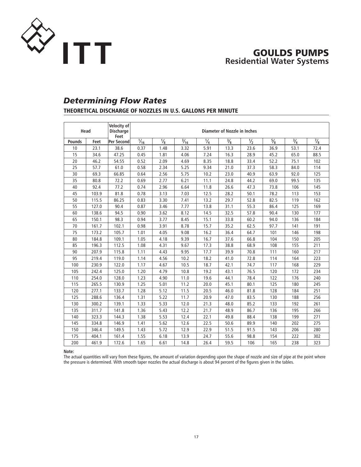

## *Determining Flow Rates*

theoretical discharge of nozzles in U.S. gallons per minute

| Head          |       | <b>Velocity of</b><br><b>Discharge</b><br>Feet | <b>Diameter of Nozzle in Inches</b> |               |                |               |               |               |               |               |               |
|---------------|-------|------------------------------------------------|-------------------------------------|---------------|----------------|---------------|---------------|---------------|---------------|---------------|---------------|
| <b>Pounds</b> | Feet  | Per Second                                     | $\frac{1}{16}$                      | $\frac{1}{8}$ | $\frac{3}{16}$ | $\frac{1}{4}$ | $\frac{3}{8}$ | $\frac{1}{2}$ | $\frac{5}{8}$ | $\frac{3}{4}$ | $\frac{7}{8}$ |
| 10            | 23.1  | 38.6                                           | 0.37                                | 1.48          | 3.32           | 5.91          | 13.3          | 23.6          | 36.9          | 53.1          | 72.4          |
| 15            | 34.6  | 47.25                                          | 0.45                                | 1.81          | 4.06           | 7.24          | 16.3          | 28.9          | 45.2          | 65.0          | 88.5          |
| 20            | 46.2  | 54.55                                          | 0.52                                | 2.09          | 4.69           | 8.35          | 18.8          | 33.4          | 52.2          | 75.1          | 102           |
| 25            | 57.7  | 61.0                                           | 0.58                                | 2.34          | 5.25           | 9.34          | 21.0          | 37.3          | 58.3          | 84.0          | 114           |
| 30            | 69.3  | 66.85                                          | 0.64                                | 2.56          | 5.75           | 10.2          | 23.0          | 40.9          | 63.9          | 92.0          | 125           |
| 35            | 80.8  | 72.2                                           | 0.69                                | 2.77          | 6.21           | 11.1          | 24.8          | 44.2          | 69.0          | 99.5          | 135           |
| 40            | 92.4  | 77.2                                           | 0.74                                | 2.96          | 6.64           | 11.8          | 26.6          | 47.3          | 73.8          | 106           | 145           |
| 45            | 103.9 | 81.8                                           | 0.78                                | 3.13          | 7.03           | 12.5          | 28.2          | 50.1          | 78.2          | 113           | 153           |
| 50            | 115.5 | 86.25                                          | 0.83                                | 3.30          | 7.41           | 13.2          | 29.7          | 52.8          | 82.5          | 119           | 162           |
| 55            | 127.0 | 90.4                                           | 0.87                                | 3.46          | 7.77           | 13.8          | 31.1          | 55.3          | 86.4          | 125           | 169           |
| 60            | 138.6 | 94.5                                           | 0.90                                | 3.62          | 8.12           | 14.5          | 32.5          | 57.8          | 90.4          | 130           | 177           |
| 65            | 150.1 | 98.3                                           | 0.94                                | 3.77          | 8.45           | 15.1          | 33.8          | 60.2          | 94.0          | 136           | 184           |
| 70            | 161.7 | 102.1                                          | 0.98                                | 3.91          | 8.78           | 15.7          | 35.2          | 62.5          | 97.7          | 141           | 191           |
| 75            | 173.2 | 105.7                                          | 1.01                                | 4.05          | 9.08           | 16.2          | 36.4          | 64.7          | 101           | 146           | 198           |
| 80            | 184.8 | 109.1                                          | 1.05                                | 4.18          | 9.39           | 16.7          | 37.6          | 66.8          | 104           | 150           | 205           |
| 85            | 196.3 | 112.5                                          | 1.08                                | 4.31          | 9.67           | 17.3          | 38.8          | 68.9          | 108           | 155           | 211           |
| 90            | 207.9 | 115.8                                          | 1.11                                | 4.43          | 9.95           | 17.7          | 39.9          | 70.8          | 111           | 160           | 217           |
| 95            | 219.4 | 119.0                                          | 1.14                                | 4.56          | 10.2           | 18.2          | 41.0          | 72.8          | 114           | 164           | 223           |
| 100           | 230.9 | 122.0                                          | 1.17                                | 4.67          | 10.5           | 18.7          | 42.1          | 74.7          | 117           | 168           | 229           |
| 105           | 242.4 | 125.0                                          | 1.20                                | 4.79          | 10.8           | 19.2          | 43.1          | 76.5          | 120           | 172           | 234           |
| 110           | 254.0 | 128.0                                          | 1.23                                | 4.90          | 11.0           | 19.6          | 44.1          | 78.4          | 122           | 176           | 240           |
| 115           | 265.5 | 130.9                                          | 1.25                                | 5.01          | 11.2           | 20.0          | 45.1          | 80.1          | 125           | 180           | 245           |
| 120           | 277.1 | 133.7                                          | 1.28                                | 5.12          | 11.5           | 20.5          | 46.0          | 81.8          | 128           | 184           | 251           |
| 125           | 288.6 | 136.4                                          | 1.31                                | 5.22          | 11.7           | 20.9          | 47.0          | 83.5          | 130           | 188           | 256           |
| 130           | 300.2 | 139.1                                          | 1.33                                | 5.33          | 12.0           | 21.3          | 48.0          | 85.2          | 133           | 192           | 261           |
| 135           | 311.7 | 141.8                                          | 1.36                                | 5.43          | 12.2           | 21.7          | 48.9          | 86.7          | 136           | 195           | 266           |
| 140           | 323.3 | 144.3                                          | 1.38                                | 5.53          | 12.4           | 22.1          | 49.8          | 88.4          | 138           | 199           | 271           |
| 145           | 334.8 | 146.9                                          | 1.41                                | 5.62          | 12.6           | 22.5          | 50.6          | 89.9          | 140           | 202           | 275           |
| 150           | 346.4 | 149.5                                          | 1.43                                | 5.72          | 12.9           | 22.9          | 51.5          | 91.5          | 143           | 206           | 280           |
| 175           | 404.1 | 161.4                                          | 1.55                                | 6.18          | 13.9           | 24.7          | 55.6          | 98.8          | 154           | 222           | 302           |
| 200           | 461.9 | 172.6                                          | 1.65                                | 6.61          | 14.8           | 26.4          | 59.5          | 106           | 165           | 238           | 323           |

**Note:**

The actual quantities will vary from these figures, the amount of variation depending upon the shape of nozzle and size of pipe at the point where the pressure is determined. With smooth taper nozzles the actual discharge is about 94 percent of the figures given in the tables.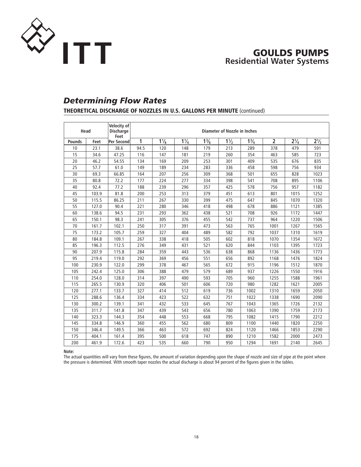

### *Determining Flow Rates*

#### theoretical discharge of nozzles in U.S. gallons per minute (continued)

| Head          |       | Velocity of<br><b>Discharge</b><br>Feet | <b>Diameter of Nozzle in Inches</b> |                |                |                |                |                |                |                |                |
|---------------|-------|-----------------------------------------|-------------------------------------|----------------|----------------|----------------|----------------|----------------|----------------|----------------|----------------|
| <b>Pounds</b> | Feet  | Per Second                              | 1                                   | $1\frac{1}{8}$ | $1\frac{1}{4}$ | $1\frac{3}{8}$ | $1\frac{1}{2}$ | $1\frac{3}{4}$ | $\overline{2}$ | $2\frac{1}{4}$ | $2\frac{1}{2}$ |
| 10            | 23.1  | 38.6                                    | 94.5                                | 120            | 148            | 179            | 213            | 289            | 378            | 479            | 591            |
| 15            | 34.6  | 47.25                                   | 116                                 | 147            | 181            | 219            | 260            | 354            | 463            | 585            | 723            |
| 20            | 46.2  | 54.55                                   | 134                                 | 169            | 209            | 253            | 301            | 409            | 535            | 676            | 835            |
| 25            | 57.7  | 61.0                                    | 149                                 | 189            | 234            | 283            | 336            | 458            | 598            | 756            | 934            |
| 30            | 69.3  | 66.85                                   | 164                                 | 207            | 256            | 309            | 368            | 501            | 655            | 828            | 1023           |
| 35            | 80.8  | 72.2                                    | 177                                 | 224            | 277            | 334            | 398            | 541            | 708            | 895            | 1106           |
| 40            | 92.4  | 77.2                                    | 188                                 | 239            | 296            | 357            | 425            | 578            | 756            | 957            | 1182           |
| 45            | 103.9 | 81.8                                    | 200                                 | 253            | 313            | 379            | 451            | 613            | 801            | 1015           | 1252           |
| 50            | 115.5 | 86.25                                   | 211                                 | 267            | 330            | 399            | 475            | 647            | 845            | 1070           | 1320           |
| 55            | 127.0 | 90.4                                    | 221                                 | 280            | 346            | 418            | 498            | 678            | 886            | 1121           | 1385           |
| 60            | 138.6 | 94.5                                    | 231                                 | 293            | 362            | 438            | 521            | 708            | 926            | 1172           | 1447           |
| 65            | 150.1 | 98.3                                    | 241                                 | 305            | 376            | 455            | 542            | 737            | 964            | 1220           | 1506           |
| 70            | 161.7 | 102.1                                   | 250                                 | 317            | 391            | 473            | 563            | 765            | 1001           | 1267           | 1565           |
| 75            | 173.2 | 105.7                                   | 259                                 | 327            | 404            | 489            | 582            | 792            | 1037           | 1310           | 1619           |
| 80            | 184.8 | 109.1                                   | 267                                 | 338            | 418            | 505            | 602            | 818            | 1070           | 1354           | 1672           |
| 85            | 196.3 | 112.5                                   | 276                                 | 349            | 431            | 521            | 620            | 844            | 1103           | 1395           | 1723           |
| 90            | 207.9 | 115.8                                   | 284                                 | 359            | 443            | 536            | 638            | 868            | 1136           | 1436           | 1773           |
| 95            | 219.4 | 119.0                                   | 292                                 | 369            | 456            | 551            | 656            | 892            | 1168           | 1476           | 1824           |
| 100           | 230.9 | 122.0                                   | 299                                 | 378            | 467            | 565            | 672            | 915            | 1196           | 1512           | 1870           |
| 105           | 242.4 | 125.0                                   | 306                                 | 388            | 479            | 579            | 689            | 937            | 1226           | 1550           | 1916           |
| 110           | 254.0 | 128.0                                   | 314                                 | 397            | 490            | 593            | 705            | 960            | 1255           | 1588           | 1961           |
| 115           | 265.5 | 130.9                                   | 320                                 | 406            | 501            | 606            | 720            | 980            | 1282           | 1621           | 2005           |
| 120           | 277.1 | 133.7                                   | 327                                 | 414            | 512            | 619            | 736            | 1002           | 1310           | 1659           | 2050           |
| 125           | 288.6 | 136.4                                   | 334                                 | 423            | 522            | 632            | 751            | 1022           | 1338           | 1690           | 2090           |
| 130           | 300.2 | 139.1                                   | 341                                 | 432            | 533            | 645            | 767            | 1043           | 1365           | 1726           | 2132           |
| 135           | 311.7 | 141.8                                   | 347                                 | 439            | 543            | 656            | 780            | 1063           | 1390           | 1759           | 2173           |
| 140           | 323.3 | 144.3                                   | 354                                 | 448            | 553            | 668            | 795            | 1082           | 1415           | 1790           | 2212           |
| 145           | 334.8 | 146.9                                   | 360                                 | 455            | 562            | 680            | 809            | 1100           | 1440           | 1820           | 2250           |
| 150           | 346.4 | 149.5                                   | 366                                 | 463            | 572            | 692            | 824            | 1120           | 1466           | 1853           | 2290           |
| 175           | 404.1 | 161.4                                   | 395                                 | 500            | 618            | 747            | 890            | 1210           | 1582           | 2000           | 2473           |
| 200           | 461.9 | 172.6                                   | 423                                 | 535            | 660            | 790            | 950            | 1294           | 1691           | 2140           | 2645           |

#### **Note:**

The actual quantities will vary from these figures, the amount of variation depending upon the shape of nozzle and size of pipe at the point where the pressure is determined. With smooth taper nozzles the actual discharge is about 94 percent of the figures given in the tables.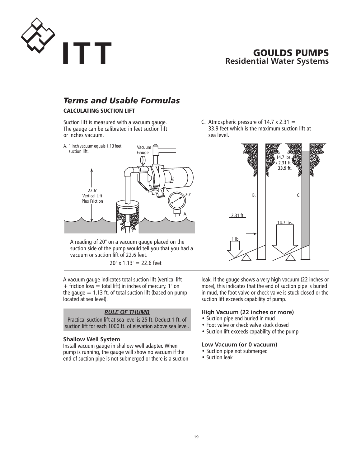

### *Terms and Usable Formulas*

#### calculating suction lift

Suction lift is measured with a vacuum gauge. The gauge can be calibrated in feet suction lift or inches vacuum.



A reading of 20" on a vacuum gauge placed on the suction side of the pump would tell you that you had a vacuum or suction lift of 22.6 feet.

 $20''$  x  $1.13' = 22.6$  feet

A vacuum gauge indicates total suction lift (vertical lift  $+$  friction loss  $=$  total lift) in inches of mercury. 1" on the gauge  $= 1.13$  ft. of total suction lift (based on pump located at sea level).

#### *RULE OF THUMB*

Practical suction lift at sea level is 25 ft. Deduct 1 ft. of suction lift for each 1000 ft. of elevation above sea level.

#### **Shallow Well System**

Install vacuum gauge in shallow well adapter. When pump is running, the gauge will show no vacuum if the end of suction pipe is not submerged or there is a suction C. Atmospheric pressure of 14.7  $\times$  2.31 = 33.9 feet which is the maximum suction lift at sea level.



leak. If the gauge shows a very high vacuum (22 inches or more), this indicates that the end of suction pipe is buried in mud, the foot valve or check valve is stuck closed or the suction lift exceeds capability of pump.

#### **High Vacuum (22 inches or more)**

- Suction pipe end buried in mud
- Foot valve or check valve stuck closed
- Suction lift exceeds capability of the pump

#### **Low Vacuum (or 0 vacuum)**

- Suction pipe not submerged
- Suction leak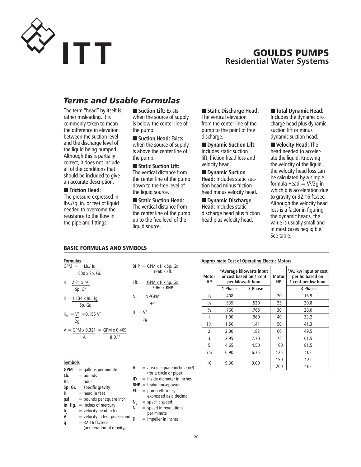

### *Terms and Usable Formulas*

The term "head" by itself is rather misleading. It is commonly taken to mean the difference in elevation between the suction level and the discharge level of the liquid being pumped. Although this is partially correct, it does not include all of the conditions that should be included to give an accurate description.

■ **Friction Head:** The pressure expressed in lbs./sq. in. or feet of liquid needed to overcome the resistance to the flow in the pipe and fittings.

#### ■ **Suction Lift:** Exists when the source of supply is below the center line of the pump.

■ **Suction Head: Exists** when the source of supply is above the center line of the pump.

■ **Static Suction Lift:** The vertical distance from the center line of the pump down to the free level of the liquid source.

■ **Static Suction Head:** The vertical distance from the center line of the pump up to the free level of the liquid source.

 $BHP = GPM \times H \times Sp.$  Gr. 3960 x Eff.

Eff.  $=$  GPM x H  $\times$  Sp. Gr. 3960 x BHP

 $N_c = N\sqrt{GPM}$  $H^{3/4}$ 

 $2<sub>a</sub>$ 

■ **Static Discharge Head:** The vertical elevation from the center line of the pump to the point of free discharge.

■ **Dynamic Suction Lift:** Includes static suction lift, friction head loss and velocity head.

■ **Dynamic Suction Head:** Includes static suction head minus friction head minus velocity head.

■ **Dynamic Discharge Head:** Includes static discharge head plus friction head plus velocity head.

■ **Total Dynamic Head:** Includes the dynamic discharge head plus dynamic suction lift or minus dynamic suction head.

■ **Velocity Head:** The head needed to accelerate the liquid. Knowing the velocity of the liquid, the velocity head loss can be calculated by a simple formula Head  $= V^2/2g$  in which g is acceleration due to gravity or 32.16 ft./sec. Although the velocity head loss is a factor in figuring the dynamic heads, the value is usually small and in most cases negligible. See table.

#### basic formulaS and symbols

#### **Formulas**

| $GPM = Lb./Hr.$               |
|-------------------------------|
| 500 x Sp. Gr.                 |
| $H = 2.31$ x psi<br>Sp. Gr.   |
| $H = 1.134$ x ln. Hq.         |
| Sp. Gr.                       |
| $H_v = V^2 = 0.155 V^2$<br>2q |
|                               |

| $H_v = V^2 = 0.155 V^2$                   | $H = V^2$ |
|-------------------------------------------|-----------|
| 2a                                        | 2ο        |
| $V = GPM \times 0.321 = GPM \times 0.409$ |           |

A  $(I.D.)^2$ 

#### **Symbols**

| <b>GPM</b> | $=$ gallons per minute         |
|------------|--------------------------------|
| Lb.        | $=$ pounds                     |
| Hr.        | $=$ hour                       |
|            | Sp. Gr. $=$ specific gravity   |
| н          | $=$ head in feet               |
| psi        | $=$ pounds per square inch     |
| In. Hq.    | $=$ inches of mercury          |
| h.         | $=$ velocity head in feet      |
|            | $=$ velocity in feet per secon |

(acceleration of gravity)

 $g = 32.16 \text{ ft./sec.}^2$ 

- **A** = area in square inches  $(\pi r^2)$ (for a circle or pipe)
- $ID = inside diameter in inches$
- **BHP** = brake horsepower

**Eff.**  $=$  pump efficiency expressed as a decimal

- $N_s$  = specific speed<br> $N$  = speed in revolu
	- = speed in revolutions
- $=$  velocity in feet per second  $\bf{D}$  per minute
	- = impeller in inches

#### **Approximate Cost of Operating Electric Motors**

| Motor<br>НP    |         | *Average kilowatts input<br>or cost based on 1 cent<br>per kilowatt hour | Motor<br>НP | *Av. kw input or cost<br>per hr. based on<br>1 cent per kw hour<br>3 Phase |  |  |
|----------------|---------|--------------------------------------------------------------------------|-------------|----------------------------------------------------------------------------|--|--|
|                | 1 Phase | 3 Phase                                                                  |             |                                                                            |  |  |
| $\frac{1}{3}$  | .408    |                                                                          | 20          | 16.9                                                                       |  |  |
| ⅓              | .535    | .520                                                                     | 25          | 20.8                                                                       |  |  |
| $\frac{3}{4}$  | .760    | .768                                                                     | 30          | 26.0                                                                       |  |  |
| 1              | 1.00    | .960                                                                     | 40          | 33.2                                                                       |  |  |
| $1\frac{1}{2}$ | 1.50    | 1.41                                                                     | 50          | 41.3                                                                       |  |  |
| $\overline{2}$ | 2.00    | 1.82                                                                     | 60          | 49.5                                                                       |  |  |
| 3              | 2.95    | 2.70                                                                     | 75          | 61.5                                                                       |  |  |
| 5              | 4.65    | 4.50                                                                     | 100         | 81.5                                                                       |  |  |
| $7\frac{1}{2}$ | 6.90    | 6.75                                                                     | 125         | 102                                                                        |  |  |
| 10             | 9.30    | 9.00                                                                     | 150         | 122                                                                        |  |  |
|                |         |                                                                          | 200         | 162                                                                        |  |  |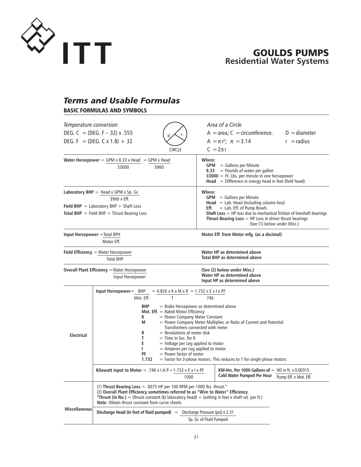

## *Terms and Usable Formulas*

#### basic formulaS and symbols

| Temperature conversion                                                                                                                                                    | DEG. C = (DEG. $F - 32$ ) x .555<br>DEG. F = (DEG. $Cx 1.8$ ) + 32                                                                                                                                                                                                                                                                                                                                 | <b>CIRCLE</b>           |                                                                                                                                                                                               | Area of a Circle<br>$A = area$ ; $C = circumference$ .<br>$A = \pi r^2$ ; $\pi = 3.14$<br>$C = 2\pi r$                                                                                                                                                                                                                  | $D =$ diameter<br>$r =$ radius |  |  |  |  |
|---------------------------------------------------------------------------------------------------------------------------------------------------------------------------|----------------------------------------------------------------------------------------------------------------------------------------------------------------------------------------------------------------------------------------------------------------------------------------------------------------------------------------------------------------------------------------------------|-------------------------|-----------------------------------------------------------------------------------------------------------------------------------------------------------------------------------------------|-------------------------------------------------------------------------------------------------------------------------------------------------------------------------------------------------------------------------------------------------------------------------------------------------------------------------|--------------------------------|--|--|--|--|
|                                                                                                                                                                           | <b>Water Horsepower</b> = GPM x 8.33 x Head = GPM x Head<br>33000                                                                                                                                                                                                                                                                                                                                  | 3960                    | Where:<br>$GPM =$ Gallons per Minute<br>8.33<br>$=$ Pounds of water per gallon<br>$33000 =$ Ft. Lbs. per minute in one horsepower<br>$Head$ = Difference in energy head in feet (field head). |                                                                                                                                                                                                                                                                                                                         |                                |  |  |  |  |
| <b>Laboratory BHP</b> $=$ Head x GPM x Sp. Gr.<br>3960 x Eff.<br><b>Field BHP</b> $=$ Laboratory BHP $+$ Shaft Loss<br><b>Total BHP</b> = Field BHP + Thrust Bearing Loss |                                                                                                                                                                                                                                                                                                                                                                                                    |                         |                                                                                                                                                                                               | Where:<br>$GPM =$ Gallons per Minute<br>$Head = Lab. Head (including column loss)$<br>= Lab. Eff. of Pump Bowls<br>Eff.<br><b>Shaft Loss</b> $=$ HP loss due to mechanical friction of lineshaft bearings<br><b>Thrust Bearing Loss <math>=</math> HP Loss in driver thrust bearings</b><br>(See (1) below under Misc.) |                                |  |  |  |  |
| <b>Input Horsepower</b> $=$ Total BPH<br>Motor Eff.                                                                                                                       |                                                                                                                                                                                                                                                                                                                                                                                                    |                         |                                                                                                                                                                                               | Motor Eff. from Motor mfg. (as a decimal)                                                                                                                                                                                                                                                                               |                                |  |  |  |  |
| <b>Field Efficiency</b> = Water Horsepower<br><b>Total BHP</b>                                                                                                            |                                                                                                                                                                                                                                                                                                                                                                                                    |                         |                                                                                                                                                                                               | Water HP as determined above<br><b>Total BHP as determined above</b>                                                                                                                                                                                                                                                    |                                |  |  |  |  |
| <b>Overall Plant Efficiency</b> = Water Horsepower<br>Input Horsepower                                                                                                    |                                                                                                                                                                                                                                                                                                                                                                                                    |                         |                                                                                                                                                                                               | (See (2) below under Misc.)<br>Water HP as determined above<br>Input HP as determined above                                                                                                                                                                                                                             |                                |  |  |  |  |
| Electrical                                                                                                                                                                | Input Horsepower = BHP<br>$= 4.826$ x K x M x R = 1.732 x E x I x PF<br>T<br>Mot. Eff.<br><b>BHP</b><br>Mot. Eff. $=$ Rated Motor Efficiency<br>= Power Company Meter Constant<br>K<br>м<br>$=$ Revolutions of meter disk<br>R<br>$=$ Time in Sec. for R<br>T<br>= Voltage per Leg applied to motor<br>E<br>$=$ Amperes per Leg applied to motor<br>T.<br>PF<br>$=$ Power factor of motor<br>1.732 |                         |                                                                                                                                                                                               | 746<br>$=$ Brake Horsepower as determined above<br>= Power Company Meter Multiplier, or Ratio of Current and Potential<br>Transformers connected with meter<br>$=$ Factor for 3-phase motors. This reduces to 1 for single phase motors                                                                                 |                                |  |  |  |  |
|                                                                                                                                                                           | Kilowatt input to Motor = .746 x l.H.P. = 1.732 x E x I x PF<br>1000                                                                                                                                                                                                                                                                                                                               |                         |                                                                                                                                                                                               | KW-Hrs. Per 1000 Gallons of $=$ HD in ft. x 0.00315<br>Cold Water Pumped Per Hour Pump Eff. x Mot. Eff.                                                                                                                                                                                                                 |                                |  |  |  |  |
|                                                                                                                                                                           | (1) Thrust Bearing Loss = .0075 HP per 100 RPM per 1000 lbs. thrust.*<br>(2) Overall Plant Efficiency sometimes referred to as "Wire to Water" Efficiency<br>*Thrust (in Ibs.) = (thrust constant (k) laboratory head) + (setting in feet x shaft wt. per ft.)<br>Note: Obtain thrust constant from curve sheets                                                                                   |                         |                                                                                                                                                                                               |                                                                                                                                                                                                                                                                                                                         |                                |  |  |  |  |
| <b>Miscellaneous</b>                                                                                                                                                      | <b>Discharge Head (in feet of fluid pumped)</b> $=$ Discharge Pressure (psi) x 2.31                                                                                                                                                                                                                                                                                                                | Sp. Gr. of Fluid Pumped |                                                                                                                                                                                               |                                                                                                                                                                                                                                                                                                                         |                                |  |  |  |  |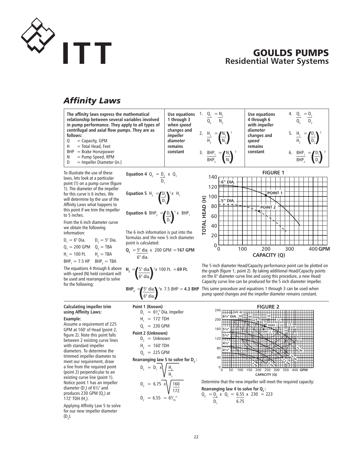

### *Affinity Laws*

| The affinity laws express the mathematical<br>relationship between several variables involved<br>in pump performance. They apply to all types of | Use equations<br>1 through 3<br>when speed     | $Q_1 = N_1$<br>$N_{\gamma}$                               | Use equations<br>4 through 6<br>with <i>impeller</i> | 4. $Q_1 = D_1$<br>D,                                                    |
|--------------------------------------------------------------------------------------------------------------------------------------------------|------------------------------------------------|-----------------------------------------------------------|------------------------------------------------------|-------------------------------------------------------------------------|
| centrifugal and axial flow pumps. They are as<br>follows:<br>$=$ Capacity, GPM<br>$=$ Total Head, Feet<br>H                                      | changes and<br>impeller<br>diameter<br>remains | 2. $\frac{H_1}{H_2} = \left(\frac{N_1}{N_2}\right)^2$     | diameter<br>changes and<br>speed<br>remains          | 5. $\frac{H_1}{H_2} = \left(\frac{D_1}{D_2}\right)^2$                   |
| $BHP =$ Brake Horsepower<br>$=$ Pump Speed, RPM<br>N<br>$=$ Impeller Diameter (in.)<br>D                                                         | constant                                       | 3. $\frac{BHP_1}{BHP_2} = \left(\frac{N_1}{N_2}\right)^3$ | constant                                             | 6. $\frac{\text{BHP}_1}{\text{BHP}_2} = \left(\frac{D_1}{D_2}\right)^3$ |

To illustrate the use of these laws, lets look at a particular point (1) on a pump curve (figure 1). The diameter of the impeller for this curve is 6 inches. We will determine by the use of the Affinity Laws what happens to this point if we trim the impeller to 5 inches.

From the 6 inch diameter curve we obtain the following information:

| $D_1 = 6$ " Dia. | $D_2 = 5$ " Dia.         |
|------------------|--------------------------|
| $Q_1 = 200$ GPM  | $Q_2 = TBA$              |
| $H1 = 100$ Ft.   | $H2 = TBA$               |
| $BHP_1 = 7.5 HP$ | $BHP$ <sub>2</sub> = TBA |

The equations 4 through 6 above with speed (N) held constant will be used and rearranged to solve for the following:

#### **Calculating impeller trim using Affinity Laws:**

**Example:**

Assume a requirement of 225 GPM at 160' of Head (point 2, figure 2). Note this point falls between 2 existing curve lines with standard impeller diameters. To determine the trimmed impeller diameter to meet our requirement, draw a line from the required point (point 2) perpendicular to an existing curve line (point 1). Notice point 1 has an impeller diameter (D<sub>1</sub>) of 6<sup>3</sup>/<sub>4</sub>" and produces 230 GPM  $(Q_1)$  at 172' TDH  $(H_1)$ .

Applying Affinity Law 5 to solve for our new impeller diameter  $(D_2)$ .

Equation 4 Q<sub>2</sub> = 
$$
\frac{D_2}{D_1} \times Q_1
$$

Equation 5 H<sub>2</sub> = 
$$
\left(\frac{D_2}{D_1}\right)^2 \times H_1
$$
  
Equation 6 BHP<sub>2</sub> =  $\left(\frac{D_2}{D_1}\right)^3 \times BHP_1$ 

$$
\bigcup_{i=1}^n D_i
$$

The 6 inch information is put into the formulas and the new 5 inch diameter point is calculated:

 $Q_2 = 5$ " dia. x 200 GPM = 167 GPM 6" dia.

H<sub>2</sub> = 
$$
\left(\frac{5^n \text{ dia}}{6^n \text{ dia}}\right)^2 \times 100 \text{ ft.} = 69 \text{ ft.}
$$



The 5 inch diameter Head/Capacity performance point can be plotted on the graph (figure 1; point 2). By taking additional Head/Capacity points on the 6" diameter curve line and using this procedure, a new Head/ Capacity curve line can be produced for the 5 inch diameter impeller.

x 7.5 BHP = **4.3 BHP** This same procedure and equations 1 through 3 can be used when pump speed changes and the impeller diameter remains constant.



**Point 1 (Known)**  $D_1 = 6\frac{3}{4}$ " Dia. Impeller ⁄  $H_1 = 172'$  TDH  $Q_1 = 230$  GPM **Point 2 (Unknown)**  $D_2 =$  Unknown  $H_2 = 160'$  TDH  $Q_2$  = 225 GPM **Rearranging law 5 to solve for D<sub>2</sub>:**  $D_2 = D_1$  x  $V_{\rm H_1}$  $= 6.75$ 172 V 172  $D_2 = 6.55 = 6\frac{9}{16}$ ⁄



Determine that the new impeller will meet the required capacity:

Rearranging law 4 to solve for Q<sub>2</sub>:  
\n
$$
Q_2 = \frac{D_2}{D_1} \times Q_1 = \frac{6.55}{6.75} \times 230 = 223
$$

22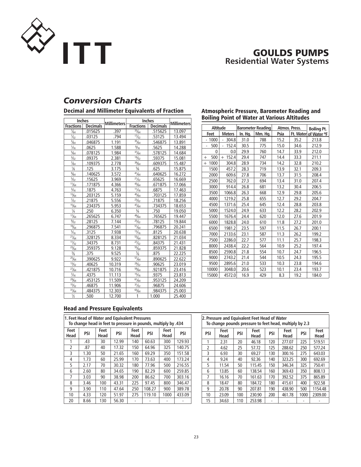

## *Conversion Charts*

Decimal and Millimeter Equivalents of Fraction

| <b>Inches</b>                       |         |                    | <b>Inches</b>    |                 |                    |
|-------------------------------------|---------|--------------------|------------------|-----------------|--------------------|
| <b>Fractions</b><br><b>Decimals</b> |         | <b>Millimeters</b> | <b>Fractions</b> | <b>Decimals</b> | <b>Millimeters</b> |
| $\frac{1}{64}$                      | .015625 |                    | $\frac{33}{64}$  | .515625         | 13.097             |
| $\frac{1}{32}$                      | .03125  |                    | $\frac{17}{32}$  | .53125          | 13.494             |
| $\frac{3}{64}$                      | .046875 |                    | $\frac{35}{64}$  | .546875         | 13.891             |
| $\frac{1}{16}$                      | .0625   | 1.588              | $\frac{9}{16}$   | .5625           | 14.288             |
| $\frac{5}{64}$                      | 078125  | 1.984              | $\frac{37}{64}$  | .578125         | 14.684             |
| $\frac{3}{32}$                      | .09375  | 2.381              | $\frac{19}{32}$  | .59375          | 15.081             |
| $\frac{7}{64}$                      | .109375 | 2.778              | $\frac{39}{64}$  | .609375         | 15.487             |
| $\frac{1}{8}$                       | .125    | 3.175              | $\frac{5}{8}$    | .625            | 15.875             |
| $\frac{9}{64}$                      | .140625 | 3.572              | 41/64            | .640625         | 16.272             |
| $\frac{5}{32}$                      | .15625  | 3.969              | $^{21}/_{32}$    | .65625          | 16.669             |
| $\frac{11}{64}$                     | .171875 | 4.366              | 43/64            | .671875         | 17.066             |
| $\frac{3}{16}$                      | .1875   | 4.763              | $\frac{11}{16}$  | .6875           | 17.463             |
| $\frac{13}{64}$                     | .203125 | 5.159              | 45/64            | .703125         | 17.859             |
| $\frac{7}{32}$                      | .21875  | 5.556              | $\frac{23}{32}$  | .71875          | 18.256             |
| 15/64                               | .234375 |                    | 47/64            | .734375         | 18.653             |
| $\frac{1}{4}$                       | .250    | 6.350              | $\frac{3}{4}$    | .750            | 19.050             |
| $\frac{17}{64}$                     | 265625  | 6.747              | $\frac{49}{64}$  | .765625         | 19.447             |
| $\frac{9}{32}$                      | .28125  | 7.144              | $\frac{25}{32}$  | .78125          | 19.844             |
| $\frac{19}{64}$                     | .296875 | 7.541              | 51/64            | .796875         | 20.241             |
| $\frac{5}{16}$                      | .3125   | 7.938              | $\frac{13}{16}$  | .8125           | 20.638             |
| $^{21}/_{64}$                       | 328125  | 8.334              | $\frac{53}{64}$  | .828125         | 21.034             |
| $\frac{11}{22}$                     | 34375   | 8.731              | $\frac{27}{32}$  | .84375          | 21.431             |
| $^{23}/_{64}$                       | .359375 | 9.128              | $\frac{55}{64}$  | .859375         | 21.828             |
| $\frac{3}{8}$                       | .375    | 9.525              | $\frac{7}{8}$    | .875            | 22.225             |
| $^{25}/_{64}$                       | .390625 | 9.922              | $\frac{57}{64}$  | .890625         | 22.622             |
| $\frac{13}{2}$                      | .40625  | 10.319             | $\frac{29}{32}$  | .90625          | 23.019             |
| $\frac{27}{64}$                     | .421875 | 10.716             | $\frac{59}{64}$  | .921875         | 23.416             |
| $\frac{7}{16}$                      | .4375   | 11.113             | $\frac{15}{16}$  | .9375           | 23.813             |
| $^{29}/_{64}$                       | .453125 | 11.509             | 61/64            | .953125         | 24.209             |
| $\frac{15}{32}$                     | .46875  | 11.906             | $\frac{31}{32}$  | .96875          | 24.606             |
| $^{31}/_{64}$                       | .484375 | 12.303             | $\frac{63}{64}$  | .984375         | 25.003             |
| $\frac{1}{2}$                       | .500    | 12.700             | 1                | 1.000           | 25.400             |

#### Atmospheric Pressure, Barometer Reading and Boiling Point of Water at Various Altitudes

| <b>Altitude</b> |                         |         | <b>Barometer Reading</b> | Atmos, Press. | <b>Boiling Pt.</b> |                       |
|-----------------|-------------------------|---------|--------------------------|---------------|--------------------|-----------------------|
| Feet            | <b>Meters</b>           | In. Hg. | Mm. Hq.                  | Psia          |                    | Ft. Water of Water °F |
| 1000            | 304.8                   | 31.0    | 788                      | 15.2          | 35.2               | 213.8                 |
| 500             | 152.4<br>$\overline{a}$ | 30.5    | 775                      | 15.0          | 34.6               | 212.9                 |
| 0               | 0.0                     | 29.9    | 760                      | 14.7          | 33.9               | 212.0                 |
| 500<br>$^{+}$   | 152.4<br>$^{+}$         | 29.4    | 747                      | 14.4          | 33.3               | 211.1                 |
| 1000<br>$^{+}$  | 304.8                   | 28.9    | 734                      | 14.2          | 32.8               | 210.2                 |
| 1500            | 457.2                   | 28.3    | 719                      | 13.9          | 32.1               | 209.3                 |
| 2000            | 609.6                   | 27.8    | 706                      | 13.7          | 31.5               | 208.4                 |
| 2500            | 762.0                   | 27.3    | 694                      | 13.4          | 31.0               | 207.4                 |
| 3000            | 914.4                   | 26.8    | 681                      | 13.2          | 30.4               | 206.5                 |
| 3500            | 1066.8                  | 26.3    | 668                      | 12.9          | 29.8               | 205.6                 |
| 4000            | 1219.2                  | 25.8    | 655                      | 12.7          | 29.2               | 204.7                 |
| 4500            | 1371.6                  | 25.4    | 645                      | 12.4          | 28.8               | 203.8                 |
| 5000            | 1524.0                  | 24.9    | 633                      | 12.2          | 28.2               | 202.9                 |
| 5500            | 1676.4                  | 24.4    | 620                      | 12.0          | 27.6               | 201.9                 |
| 6000            | 1828.8                  | 24.0    | 610                      | 11.8          | 27.2               | 201.0                 |
| 6500            | 1981.2                  | 23.5    | 597                      | 11.5          | 26.7               | 200.1                 |
| 7000            | 2133.6                  | 23.1    | 587                      | 11.3          | 26.2               | 199.2                 |
| 7500            | 2286.0                  | 22.7    | 577                      | 11.1          | 25.7               | 198.3                 |
| 8000            | 2438.4                  | 22.2    | 564                      | 10.9          | 25.2               | 197.4                 |
| 8500            | 2590.8                  | 21.8    | 554                      | 10.7          | 24.7               | 196.5                 |
| 9000            | 2743.2                  | 21.4    | 544                      | 10.5          | 24.3               | 195.5                 |
| 9500            | 2895.6                  | 21.0    | 533                      | 10.3          | 23.8               | 194.6                 |
| 10000           | 3048.0                  | 20.6    | 523                      | 10.1          | 23.4               | 193.7                 |
| 15000           | 4572.0                  | 16.9    | 429                      | 8.3           | 19.2               | 184.0                 |

#### Head and Pressure Equivalents

| 1. Feet Head of Water and Equivalent Pressures | To change head in feet to pressure in pounds, multiply by .434 |      |              |       |              |        |              |        |
|------------------------------------------------|----------------------------------------------------------------|------|--------------|-------|--------------|--------|--------------|--------|
|                                                | Feet<br>Head                                                   | PSI  | Feet<br>Head | PSI   | Feet<br>Head | PSI    | Feet<br>Head | PSI    |
|                                                |                                                                | .43  | 30           | 12.99 | 140          | 60.63  | 300          | 129.93 |
|                                                | $\overline{2}$                                                 | .87  | 40           | 17.32 | 150          | 64.96  | 325          | 140.75 |
|                                                | 3                                                              | 1.30 | 50           | 21.65 | 160          | 69.29  | 350          | 151.58 |
|                                                | 4                                                              | 1.73 | 60           | 25.99 | 170          | 73.63  | 400          | 173.24 |
|                                                | 5                                                              | 2.17 | 70           | 30.32 | 180          | 77.96  | 500          | 216.55 |
|                                                | 6                                                              | 2.60 | 80           | 34.65 | 190          | 82.29  | 600          | 259.85 |
|                                                | 7                                                              | 3.03 | 90           | 38.98 | 200          | 86.62  | 700          | 303.16 |
|                                                | 8                                                              | 3.46 | 100          | 43.31 | 225          | 97.45  | 800          | 346.47 |
|                                                | q                                                              | 3.90 | 110          | 47.64 | 250          | 108.27 | 900          | 389.78 |
|                                                | 10 <sup>1</sup>                                                | 4.33 | 120          | 51.97 | 275          | 119.10 | 1000         | 433.09 |
|                                                | 20                                                             | 8.66 | 130          | 56.30 |              |        |              |        |

|               | 2. Pressure and Equivalent Feet Head of Water<br>To change pounds pressure to feet head, multiply by 2.3 |            |              |     |              |            |              |  |
|---------------|----------------------------------------------------------------------------------------------------------|------------|--------------|-----|--------------|------------|--------------|--|
| PSI           | Feet<br>Head                                                                                             | <b>PSI</b> | Feet<br>Head | PSI | Feet<br>Head | <b>PSI</b> | Feet<br>Head |  |
|               | 2.31                                                                                                     | 20         | 46.18        | 120 | 277.07       | 225        | 519.51       |  |
| $\mathcal{P}$ | 4.62                                                                                                     | 25         | 57.72        | 125 | 288.62       | 250        | 577.24       |  |
| 3             | 6.93                                                                                                     | 30         | 69.27        | 130 | 300.16       | 275        | 643.03       |  |
| 4             | 9.24                                                                                                     | 40         | 92.36        | 140 | 323.25       | 300        | 692.69       |  |
| 5             | 11.54                                                                                                    | 50         | 115.45       | 150 | 346.34       | 325        | 750.41       |  |
| 6             | 13.85                                                                                                    | 60         | 138.54       | 160 | 369.43       | 350        | 808.13       |  |
| 7             | 16.16                                                                                                    | 70         | 161.63       | 170 | 392.52       | 375        | 865.89       |  |
| 8             | 18.47                                                                                                    | 80         | 184.72       | 180 | 415.61       | 400        | 922.58       |  |
| 9             | 20.78                                                                                                    | 90         | 207.81       | 190 | 438.90       | 500        | 1154.48      |  |
| 10            | 23.09                                                                                                    | 100        | 230.90       | 200 | 461.78       | 1000       | 2309.00      |  |
| 15            | 34.63                                                                                                    | 110        | 253.98       |     |              |            |              |  |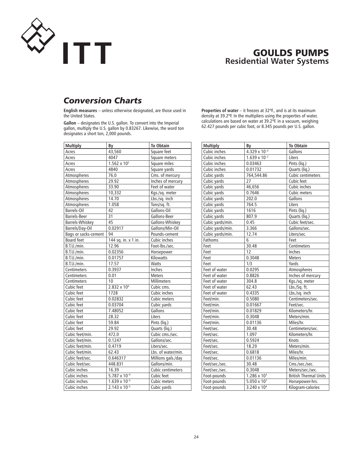

## *Conversion Charts*

**English measures** – unless otherwise designated, are those used in the United States.

**Gallon** – designates the U.S. gallon. To convert into the Imperial gallon, multiply the U.S. gallon by 0.83267. Likewise, the word ton designates a short ton, 2,000 pounds.

| <b>Multiply</b>        | Вy                               | <b>To Obtain</b>   |
|------------------------|----------------------------------|--------------------|
| Acres                  | 43,560                           | Square feet        |
| Acres                  | 4047                             | Square meters      |
| Acres                  | $1.562 \times 10^{3}$            | Square miles       |
| Acres                  | 4840                             | Square yards       |
| Atmospheres            | 76.0                             | Cms. of mercury    |
| Atmospheres            | 29.92                            | Inches of mercury  |
| Atmospheres            | 33.90                            | Feet of water      |
| Atmospheres            | 10,332                           | Kgs./sg. meter     |
| <b>Atmospheres</b>     | 14.70                            | Lbs./sq. inch      |
| Atmospheres            | 1.058                            | Tons/sq. ft.       |
| <b>Barrels-Oil</b>     | 42                               | Gallons-Oil        |
| <b>Barrels-Beer</b>    | 31                               | Gallons-Beer       |
| <b>Barrels-Whiskey</b> | 45                               | Gallons-Whiskey    |
| Barrels/Day-Oil        | 0.02917                          | Gallons/Min-Oil    |
| Bags or sacks-cement   | 94                               | Pounds-cement      |
| <b>Board</b> feet      | $\overline{144}$ sq. in. x 1 in. | Cubic inches       |
| B.T.U./min.            | 12.96                            | Foot-lbs./sec.     |
| B.T.U./min.            | 0.02356                          | Horsepower         |
| B.T.U./min.            | 0.01757                          | Kilowatts          |
| B.T.U./min.            | 17.57                            | Watts              |
| Centimeters            | 0.3937                           | Inches             |
| Centimeters            | 0.01                             | <b>Meters</b>      |
| Centimeters            | 10                               | Millimeters        |
| Cubic feet             | 2.832 x 10 <sup>4</sup>          | Cubic cms.         |
| Cubic feet             | 1728                             | Cubic inches       |
| Cubic feet             | 0.02832                          | Cubic meters       |
| Cubic feet             | 0.03704                          | Cubic yards        |
| Cubic feet             | 7.48052                          | Gallons            |
| Cubic feet             | 28.32                            | Liters             |
| Cubic feet             | 59.84                            | Pints (liq.)       |
| Cubic feet             | 29.92                            | Quarts (liq.)      |
| Cubic feet/min.        | 472.0                            | Cubic cms./sec.    |
| Cubic feet/min.        | 0.1247                           | Gallons/sec.       |
| Cubic feet/min.        | 0.4719                           | Liters/sec.        |
| Cubic feet/min.        | 62.43                            | Lbs. of water/min. |
| Cubic feet/sec.        | 0.646317                         | Millions gals./day |
| Cubic feet/sec.        | 448.831                          | Gallons/min.       |
| Cubic inches           | 16.39                            | Cubic centimeters  |
| Cubic inches           | $5.787 \times 10^{-4}$           | Cubic feet         |
| Cubic inches           | $1.639 \times 10^{-5}$           | Cubic meters       |
| Cubic inches           | $2.143 \times 10^{-5}$           | Cubic yards        |

**Properties of water** – it freezes at 32ºF., and is at its maximum density at 39.2ºF. In the multipliers using the properties of water, calculations are based on water at 39.2ºF. in a vacuum, weighing 62.427 pounds per cubic foot, or 8.345 pounds per U.S. gallon.

| <b>Multiply</b>  | By                     | <b>To Obtain</b>             |
|------------------|------------------------|------------------------------|
| Cubic inches     | $4.329 \times 10^{-3}$ | Gallons                      |
| Cubic inches     | $1.639 \times 10^{-2}$ | Liters                       |
| Cubic inches     | 0.03463                | Pints (lig.)                 |
| Cubic inches     | 0.01732                | Quarts (liq.)                |
|                  | 764,544.86             | <b>Cubic centimeters</b>     |
| Cubic yards      |                        |                              |
| Cubic yards      | 27                     | Cubic feet                   |
| Cubic yards      | 46,656                 | Cubic inches                 |
| Cubic yards      | 0.7646                 | Cubic meters                 |
| Cubic yards      | 202.0                  | Gallons                      |
| Cubic yards      | 764.5                  | Liters                       |
| Cubic yards      | 1616                   | Pints (liq.)                 |
| Cubic yards      | 807.9                  | Quarts (liq.)                |
| Cubic yards/min. | 0.45                   | Cubic feet/sec.              |
| Cubic yards/min. | 3.366                  | Gallons/sec.                 |
| Cubic yards/min. | 12.74                  | Liters/sec.                  |
| <b>Fathoms</b>   | 6                      | Feet                         |
| Feet             | 30.48                  | Centimeters                  |
| Feet             | 12                     | Inches                       |
| Feet             | 0.3048                 | <b>Meters</b>                |
| Feet             | 1/3                    | Yards                        |
| Feet of water    | 0.0295                 | Atmospheres                  |
| Feet of water    | 0.8826                 | Inches of mercury            |
| Feet of water    | 304.8                  | Kgs./sq. meter               |
| Feet of water    | 62.43                  | Lbs./Sq. ft.                 |
| Feet of water    | 0.4335                 | Lbs./sq. inch                |
| Feet/min.        | 0.5080                 | Centimeters/sec.             |
| Feet/min.        | 0.01667                | Feet/sec.                    |
| Feet/min.        | 0.01829                | Kilometers/hr.               |
| Feet/min.        | 0.3048                 | Meters/min.                  |
| Feet/min.        | 0.01136                | Miles/hr.                    |
| Feet/sec.        | 30.48                  | Centimeters/sec.             |
| Feet/sec.        | 1.097                  | Kilometers/hr.               |
| Feet/sec.        | 0.5924                 | Knots                        |
| Feet/sec.        | 18.29                  | Meters/min.                  |
| Feet/sec.        | 0.6818                 | Miles/hr.                    |
| Feet/sec.        | 0.01136                | Miles/min.                   |
| Feet/sec./sec.   | 30.48                  | Cms./sec./sec.               |
| Feet/sec./sec.   | 0.3048                 | Meters/sec./sec.             |
| Foot-pounds      | $1.286 \times 10^{3}$  | <b>British Thermal Units</b> |
| Foot-pounds      | $5.050 \times 10^{7}$  | Horsepower-hrs.              |
| Foot-pounds      | $3.240 \times 10^{4}$  | Kilogram-calories            |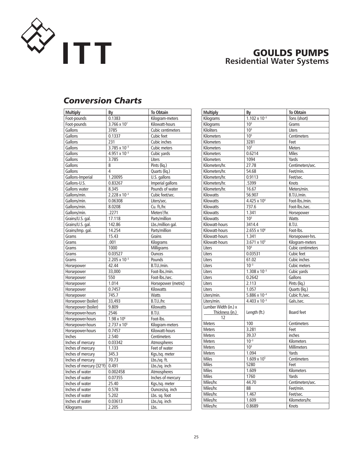

## *Conversion Charts*

| <b>Multiply</b>          | By                     | <b>To Obtain</b>         |
|--------------------------|------------------------|--------------------------|
| Foot-pounds              | 0.1383                 | Kilogram-meters          |
| Foot-pounds              | $3.766 \times 10^{7}$  | Kilowatt-hours           |
| Gallons                  | 3785                   | Cubic centimeters        |
| Gallons                  | 0.1337                 | Cubic feet               |
| Gallons                  | 231                    | Cubic inches             |
| Gallons                  | $3.785 \times 10^{-3}$ | Cubic meters             |
| Gallons                  | $4.951 \times 10^{-3}$ | Cubic yards              |
| Gallons                  | 3.785                  | Liters                   |
| Gallons                  | 8                      | Pints (liq.)             |
| Gallons                  | 4                      | Quarts (lig.)            |
| Gallons-Imperial         | 1.20095                | U.S. gallons             |
| Gallons-U.S.             | 0.83267                | <b>Imperial gallons</b>  |
| Gallons water            | 8.345                  | Pounds of water          |
| Gallons/min.             | $2.228 \times 10^{-3}$ | Cubic feet/sec.          |
| Gallons/min.             | 0.06308                | Liters/sec.              |
| Gallons/min.             | 8.0208                 | Cu. ft./hr.              |
| Gallons/min.             | .2271                  | Meters <sup>3</sup> /hr. |
| Grains/U.S. gal.         | 17.118                 | Parts/million            |
| Grains/U.S. gal.         | 142.86                 | Lbs./million gal.        |
| Grains/Imp. gal.         | 14.254                 | Parts/million            |
| Grams                    | 15.43                  | Grains                   |
| Grams                    | .001                   | Kilograms                |
| Grams                    | 1000                   | Milligrams               |
| Grams                    | 0.03527                | <b>Ounces</b>            |
| Grams                    | $2.205 \times 10^{-3}$ | Pounds                   |
| Horsepower               | 42.44                  | B.T.U./min.              |
| Horsepower               | 33,000                 | Foot-lbs./min.           |
| Horsepower               | 550                    | Foot-Ibs./sec.           |
| Horsepower               | 1.014                  | Horsepower (metric)      |
| Horsepower               | 0.7457                 | Kilowatts                |
| Horsepower               | 745.7                  | <b>Watts</b>             |
| Horsepower (boiler)      | 33,493                 | B.T.U./hr.               |
| Horsepower (boiler)      | 9.809                  | Kilowatts                |
| Horsepower-hours         | 2546                   | B.T.U.                   |
| Horsepower-hours         | 1.98 x 10 <sup>6</sup> | Foot-Ibs.                |
| Horsepower-hours         | $2.737 \times 10^{5}$  | Kilogram-meters          |
| Horsepower-hours         | 0.7457                 | Kilowatt-hours           |
| Inches                   | 2.540                  | Centimeters              |
| Inches of mercury        | 0.03342                | Atmospheres              |
| Inches of mercury        | 1.133                  | Feet of water            |
| Inches of mercury        | 345.3                  | Kgs./sq. meter           |
| Inches of mercury        | 70.73                  | Lbs./sq. ft.             |
| Inches of mercury (32°F) | 0.491                  | Lbs./sq. inch            |
| Inches of water          | 0.002458               | Atmospheres              |
| Inches of water          | 0.07355                | Inches of mercury        |
| Inches of water          | 25.40                  | Kgs./sq. meter           |
| Inches of water          | 0.578                  | Ounces/sq. inch          |
| Inches of water          | 5.202                  | Lbs. sq. foot            |
| Inches of water          | 0.03613                | Lbs./sq. inch            |
| Kilograms                | 2.205                  | Lbs.                     |
|                          |                        |                          |

| <b>Multiply</b>                               | By                      | <b>To Obtain</b>   |  |
|-----------------------------------------------|-------------------------|--------------------|--|
| Kilograms                                     | $1.102 \times 10^{-3}$  | Tons (short)       |  |
| Kilograms                                     | 10 <sup>3</sup>         | Grams              |  |
| Kiloliters                                    | 10 <sup>3</sup>         | Liters             |  |
| Kilometers                                    | 10 <sup>5</sup>         | Centimeters        |  |
| Kilometers                                    | 3281                    | Feet               |  |
| Kilometers                                    | 10 <sup>3</sup>         | <b>Meters</b>      |  |
| Kilometers                                    | 0.6214                  | <b>Miles</b>       |  |
| Kilometers                                    | 1094                    | Yards              |  |
| Kilometers/hr.                                | 27.78                   | Centimeters/sec.   |  |
| Kilometers/hr.                                | 54.68                   | Feet/min.          |  |
| Kilometers/hr.                                | 0.9113                  | Feet/sec.          |  |
| Kilometers/hr.                                | .5399                   | Knots              |  |
| Kilometers/hr.                                | 16.67                   | Meters/min.        |  |
| Kilowatts                                     | 56.907                  | B.T.U./min.        |  |
| Kilowatts                                     | 4.425 x 10 <sup>4</sup> | Foot-lbs./min.     |  |
| Kilowatts                                     | 737.6                   | Foot-Ibs./sec.     |  |
| Kilowatts                                     | 1.341                   | Horsepower         |  |
| Kilowatts                                     | 10 <sup>3</sup>         | <b>Watts</b>       |  |
| Kilowatt-hours                                | 3414.4                  | B.T.U.             |  |
| Kilowatt-hours                                | $2.655 \times 10^6$     | Foot-Ibs.          |  |
| Kilowatt-hours                                | 1.341                   | Horsepower-hrs.    |  |
| Kilowatt-hours                                | $3.671 \times 10^{5}$   | Kilogram-meters    |  |
| Liters                                        | 10 <sup>3</sup>         | Cubic centimeters  |  |
| Liters                                        | 0.03531                 | Cubic feet         |  |
| Liters                                        | 61.02                   | Cubic inches       |  |
| Liters                                        | $10^{-3}$               | Cubic meters       |  |
| Liters                                        | $1.308 \times 10^{-3}$  | Cubic yards        |  |
| Liters                                        | 0.2642                  | Gallons            |  |
| Liters                                        | 2.113                   | Pints (lig.)       |  |
| Liters                                        | 1.057                   | Quarts (liq.)      |  |
| Liters/min.                                   | $5.886 \times 10^{-4}$  | Cubic ft./sec.     |  |
| Liters/min.                                   | $4.403 \times 10^{-3}$  | Gals./sec.         |  |
| Lumber Width (in.) x<br>Thickness (in.)<br>12 | Length (ft.)            | <b>Board feet</b>  |  |
| <b>Meters</b>                                 | 100                     | Centimeters        |  |
| <b>Meters</b>                                 | 3.281                   | Feet               |  |
| <b>Meters</b>                                 | 39.37                   | inches             |  |
| Meters                                        | $10^{-3}$               | Kilometers         |  |
| <b>Meters</b>                                 | 10 <sup>3</sup>         | <b>Millimeters</b> |  |
| Meters                                        | 1.094                   | Yards              |  |
| Miles                                         | $1.609 \times 10^{5}$   | Centimeters        |  |
| <b>Miles</b>                                  | 5280                    | Feet               |  |
| <b>Miles</b>                                  | 1.609                   | Kilometers         |  |
| <b>Miles</b>                                  | 1760                    | Yards              |  |
| Miles/hr.                                     | 44.70                   | Centimeters/sec.   |  |
| Miles/hr.                                     | 88                      | Feet/min.          |  |
| Miles/hr.                                     | 1.467                   | Feet/sec.          |  |
| Miles/hr.                                     | 1.609                   | Kilometers/hr.     |  |
| Miles/hr.                                     | 0.8689                  | Knots              |  |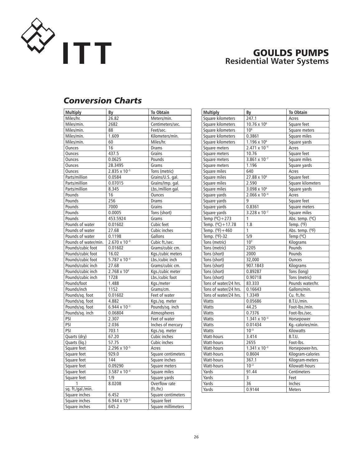

## *Conversion Charts*

| <b>Multiply</b>      | By                      | <b>To Obtain</b>   |
|----------------------|-------------------------|--------------------|
| Miles/hr.            | 26.82                   | Meters/min.        |
| Miles/min.           | 2682                    | Centimeters/sec.   |
| Miles/min.           | 88                      | Feet/sec.          |
| Miles/min.           | 1.609                   | Kilometers/min.    |
| Miles/min.           | 60                      | Miles/hr.          |
| Ounces               | 16                      | Drams              |
| Ounces               | 437.5                   | Grains             |
| Ounces               | 0.0625                  | Pounds             |
| <b>Ounces</b>        | 28.3495                 | Grams              |
| <b>Ounces</b>        | $2.835 \times 10^{-5}$  | Tons (metric)      |
| Parts/million        | 0.0584                  | Grains/U.S. gal.   |
| Parts/million        | 0.07015                 | Grains/Imp. gal.   |
| Parts/million        | 8.345                   | Lbs./million gal.  |
| Pounds               | 16                      | <b>Ounces</b>      |
| Pounds               | 256                     | <b>Drams</b>       |
| Pounds               | 7000                    | Grains             |
| Pounds               | 0.0005                  | Tons (short)       |
| Pounds               | 453.5924                | Grams              |
| Pounds of water      | 0.01602                 | Cubic feet         |
| Pounds of water      | 27.68                   | Cubic inches       |
| Pounds of water      | 0.1198                  | Gallons            |
| Pounds of water/min. | $2.670 \times 10^{-4}$  | Cubic ft./sec.     |
| Pounds/cubic foot    | 0.01602                 | Grams/cubic cm.    |
| Pounds/cubic foot    | 16.02                   | Kgs./cubic meters  |
| Pounds/cubic foot    | $5.787 \times 10^{-4}$  | Lbs./cubic inch    |
| Pounds/cubic inch    | 27.68                   | Grams/cubic cm.    |
| Pounds/cubic inch    | 2.768 x 10 <sup>4</sup> | Kgs./cubic meter   |
| Pounds/cubic inch    | 1728                    | Lbs./cubic foot    |
| Pounds/foot          | 1.488                   | Kgs./meter         |
| Pounds/inch          | 1152                    | Grams/cm.          |
| Pounds/sq. foot      | 0.01602                 | Feet of water      |
| Pounds/sq. foot      | 4.882                   | Kgs./sq. meter     |
| Pounds/sq. foot      | $6.944 \times 10^{-3}$  | Pounds/sq. inch    |
| Pounds/sq. inch      | 0.06804                 | Atmospheres        |
| PSI                  | 2.307                   | Feet of water      |
| PSI                  | 2.036                   | Inches of mercury  |
| PSI                  | 703.1                   | Kgs./sg. meter     |
| Quarts (dry)         | 67.20                   | Cubic inches       |
| Quarts (liq.)        | 57.75                   | Cubic inches       |
| Square feet          | $2.296 \times 10^{-5}$  | Acres              |
| Square feet          | 929.0                   | Square centimeters |
| Square feet          | 144                     | Square inches      |
| Square feet          | 0.09290                 | Square meters      |
| Square feet          | $3.587 \times 10^{-4}$  | Square miles       |
| Square feet          | 1/9                     | Square yards       |
| 1                    | 8.0208                  | Overflow rate      |
| sq. ft./gal./min.    |                         | (ft./hr.)          |
| Square inches        | 6.452                   | Square centimeters |
| Square inches        | $6.944 \times 10^{-3}$  | Square feet        |
| Square inches        | 645.2                   | Square millimeters |
|                      |                         |                    |

| <b>Multiply</b>          | Вy                      | <b>To Obtain</b>  |  |
|--------------------------|-------------------------|-------------------|--|
| <b>Square kilometers</b> | 247.1                   | Acres             |  |
| Square kilometers        | 10.76 x 10 <sup>6</sup> | Square feet       |  |
| Square kilometers        | 10 <sup>6</sup>         | Square meters     |  |
| Square kilometers        | 0.3861                  | Square miles      |  |
| Square kilometers        | 1.196 x 10 <sup>6</sup> | Square yards      |  |
| Square meters            | $2.471 \times 10^{-4}$  | Acres             |  |
| Square meters            | 10.76                   | Square feet       |  |
| Square meters            | $3.861 \times 10^{-7}$  | Square miles      |  |
| Square meters            | 1.196                   | Square yards      |  |
| Square miles             | 640                     | Acres             |  |
| Square miles             | 27.88 x 10 <sup>6</sup> | Square feet       |  |
| Square miles             | 2.590                   | Square kilometers |  |
| Square miles             | $3.098 \times 10^{6}$   | Square yards      |  |
| Square yards             | $2.066 \times 10^{-4}$  | Acres             |  |
| Square yards             | 9                       | Square feet       |  |
| Square yards             | 0.8361                  | Square meters     |  |
| Square yards             | $3.228 \times 10^{-7}$  | Square miles      |  |
| Temp (°C) + 273          | 1                       | Abs. temp. (°C)   |  |
| Temp. (°C) + 17.78       | $\overline{1.8}$        | Temp. (°F)        |  |
| Temp. $(^{\circ}F)+460$  | 1                       | Abs. temp. (°F)   |  |
| Temp. (°F)-32            | 5/9                     | Temp (°C)         |  |
| Tons (metric)            | 10 <sup>3</sup>         | Kilograms         |  |
| Tons (metric)            | 2205                    | Pounds            |  |
| Tons (short)             | 2000                    | Pounds            |  |
| Tons (short)             | 32,000                  | <b>Ounces</b>     |  |
| Tons (short)             | 907.1843                | Kilograms         |  |
| Tons (short)             | 0.89287                 | Tons (long)       |  |
| Tons (short)             | 0.90718                 | Tons (metric)     |  |
| Tons of water/24 hrs.    | 83.333                  | Pounds water/hr.  |  |
| Tons of water/24 hrs.    | 0.16643                 | Gallons/min.      |  |
| Tons of water/24 hrs.    | 1.3349                  | Cu. ft./hr.       |  |
| <b>Watts</b>             | 0.05686                 | B.T.U./min.       |  |
| <b>Watts</b>             | 44.25                   | Foot-Ibs./min.    |  |
| Watts                    | 0.7376                  | Foot-Ibs./sec.    |  |
| <b>Watts</b>             | $1.341 \times 10^{-3}$  | Horsepower        |  |
| Watts                    | 0.01434                 | Kg.-calories/min. |  |
| <b>Watts</b>             | $10^{-3}$               | Kilowatts         |  |
| Watt-hours               | 3.414                   | B.T.U.            |  |
| Watt-hours               | 2655                    | Foot-Ibs.         |  |
| Watt-hours               | $1.341 \times 10^{-3}$  | Horsepower-hrs.   |  |
| Watt-hours               | 0.8604                  | Kilogram-calories |  |
| Watt-hours               | 367.1                   | Kilogram-meters   |  |
| Watt-hours               | $10^{-3}$               | Kilowatt-hours    |  |
| Yards                    | 91.44                   | Centimeters       |  |
| Yards                    | 3                       | Feet              |  |
| Yards                    | 36                      | Inches            |  |
| Yards                    | 0.9144                  | <b>Meters</b>     |  |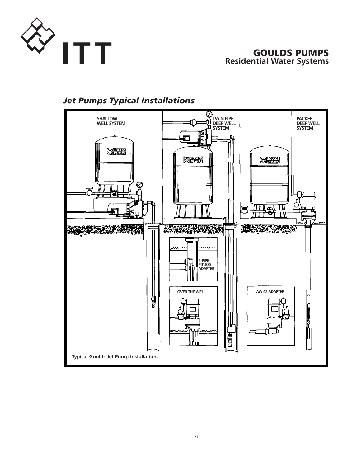

## *Jet Pumps Typical Installations*

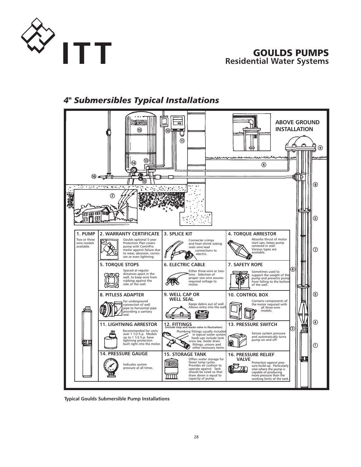

#### $\ddotsc$ **S** GOULDS 급 H, **ABOVE GROUND INSTALLATION**  $\circledR$ ⑩ Ų īπ  $^{\circledR}$  $\circledcirc$ ൹  $\circledast$  $^{\circ}$ κ۶ 毗臣  $\circledast$  $^{\circledR}$ **CALCON**  $\overline{\mathbf{r}}$ でそこのかいか Ŷ **2 Read** 信田田町 孖 間頭 ţ. 5 tnn  **1. PUMP 2. WARRANTY CERTIFICATE 3. SPLICE KIT 4. TORQUE ARRESTOR**  Two or three Goulds optional 5-year Connecter crimps Absorbs thrust of motor start-ups; keeps pump centered in well. Various types are available.  $\overline{\mathbf{\hat{x}}}$ Protection Plan covers wire models available. and heat-shrink tubing seals wire lead pump with CentriPro  $\odot$  connections to motor against failure due to wear, abrasion, corros-ion or even lightning.  $\frac{1}{T}$ **B** electric. Ð **5. TORQUE STOPS 6. ELECTRIC CABLE 7. SAFETY ROPE**  $^{\circ}$ Spaced at regular distances apart in the well, to keep wire from rubbing against the Either three-wire or two-wire. Selection of Sometimes used to support the weight of the pump and prevents pump from falling to the bottom of the well. **READER** proper size wire assures required voltage to motor. **AR** side of the wall. **9. WELL CAP OR**   $\circledS$ **8. PITLESS ADAPTER 10. CONTROL BOX WELL SEAL** Contains components of For underground connection of well Keeps debris out of well. Allows entry into the well. the motor required with all three-wire ⋓ ąШ pipe to horizontal pipe providing a sanitary models. ₽ seal. 귝  $=$  $\circled{a}$ **12. FITTINGS**<br>(include stop and waste valve in illustration) **11. LIGHTNING ARRESTOR 13. PRESSURE SWITCH** 壸 **3** (include stop and waste valve in illustration)<br>
Plumbing fittings usually included<br>
hook-ups include tank<br>
ross tee, boiler drain<br>
ross tee, boiler drain<br>
other necessary items.<br>
Titings, unions and<br>
other necessary items. Recommended for units<br>over 1 1/2 h.p. Models<br>up to 1 1/2 h.p. have<br>lightning protection<br>built right into the motor. JШ Senses system pressure and automatically turns pump on and off. (百百 0 **1 14. PRESSURE GAUGE 15. STORAGE TANK 16. PRESSURE RELIEF** чþ  **VALVE** Offers water storage for fewer lump cycles. Provides air cushion to operate against. Tank should be sized so that draw down is equal to **S** GOULDS Protection against pres-sure build-up. Particularly vital where the pump is  $\mathbb{E}_{\mathbb{Z}}$ Indicates system pressure at all times. capable of producing more pressure than the working limits of the tank. 巫 **THE REAL** capacity of pump.

## *4" Submersibles Typical Installations*

**Typical Goulds Submersible Pump Installations**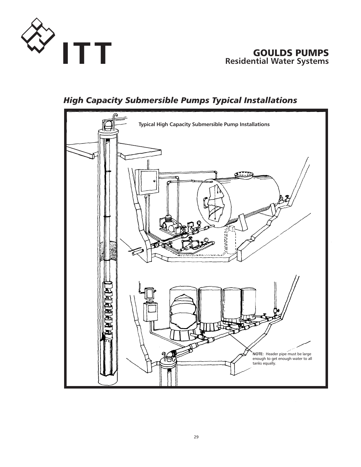

## *High Capacity Submersible Pumps Typical Installations*

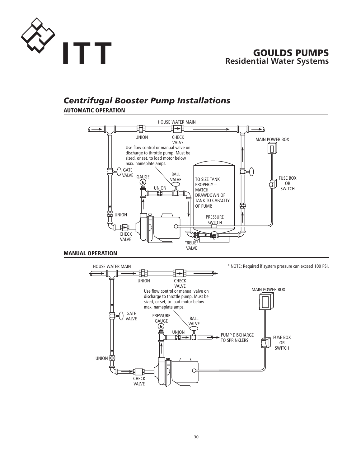

## *Centrifugal Booster Pump Installations*

automatic operation



#### MANUAL operation

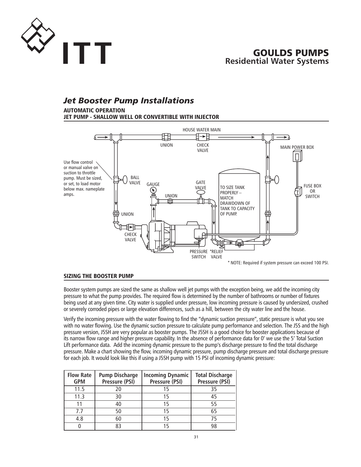

### *Jet Booster Pump Installations*

#### AUTOMATIC OPERATION JET PUMP - SHALLOW WELL OR CONVERTIBLE WITH INJECTOR



#### SIZING THE BOOSTER PUMP

Booster system pumps are sized the same as shallow well jet pumps with the exception being, we add the incoming city pressure to what the pump provides. The required flow is determined by the number of bathrooms or number of fixtures being used at any given time. City water is supplied under pressure, low incoming pressure is caused by undersized, crushed or severely corroded pipes or large elevation differences, such as a hill, between the city water line and the house.

Verify the incoming pressure with the water flowing to find the "dynamic suction pressure", static pressure is what you see with no water flowing. Use the dynamic suction pressure to calculate pump performance and selection. The J5S and the high pressure version, J5SH are very popular as booster pumps. The J5SH is a good choice for booster applications because of its narrow flow range and higher pressure capability. In the absence of performance data for 0' we use the 5' Total Suction Lift performance data. Add the incoming dynamic pressure to the pump's discharge pressure to find the total discharge pressure. Make a chart showing the flow, incoming dynamic pressure, pump discharge pressure and total discharge pressure for each job. It would look like this if using a J5SH pump with 15 PSI of incoming dynamic pressure:

| <b>Flow Rate</b><br><b>GPM</b> | <b>Pump Discharge</b><br>Pressure (PSI) | <b>Incoming Dynamic</b><br>Pressure (PSI) | <b>Total Discharge</b><br>Pressure (PSI) |
|--------------------------------|-----------------------------------------|-------------------------------------------|------------------------------------------|
| 11.5                           | 20                                      |                                           | 35                                       |
| 11.3                           | 30                                      | 15                                        | 45                                       |
| 11                             | 40                                      | 15                                        | 55                                       |
| 7.7                            | 50                                      | 15                                        | 65                                       |
| 4.8                            | 60                                      | 15                                        | 75                                       |
|                                | 83                                      |                                           | 98                                       |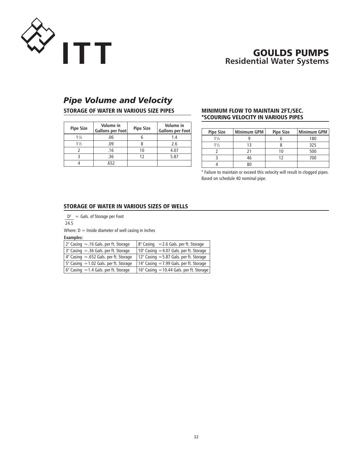

## *Pipe Volume and Velocity*

storage of water in various size pipes

| <b>Pipe Size</b> | Volume in<br><b>Gallons per Foot</b> | <b>Pipe Size</b> | Volume in<br><b>Gallons per Foot</b> |  |
|------------------|--------------------------------------|------------------|--------------------------------------|--|
| $1\frac{1}{4}$   | .06                                  |                  | 1.4                                  |  |
| $1\frac{1}{2}$   | .09                                  |                  | 2.6                                  |  |
|                  | .16                                  | 10               | 4.07                                 |  |
|                  | .36                                  | 12               | 5.87                                 |  |
|                  | 652                                  |                  |                                      |  |

#### minimum flow to maintain 2ft./sec. \*scouring velocity in various pipes

| <b>Pipe Size</b> | <b>Minimum GPM</b> | <b>Pipe Size</b> | Minimum GPM |
|------------------|--------------------|------------------|-------------|
| $1\frac{1}{4}$   |                    |                  | 180         |
| $1\frac{1}{2}$   | 13                 |                  | 325         |
|                  | 21                 | 10               | 500         |
|                  | 46                 |                  | 700         |
|                  |                    |                  |             |

\* Failure to maintain or exceed this velocity will result in clogged pipes. Based on schedule 40 nominal pipe.

#### storage of water in various sizes of wells

 $D^2$  = Gals. of Storage per Foot

24.5

Where:  $D =$  Inside diameter of well casing in inches

#### **Examples:**

| $2^{\circ}$ Casing = .16 Gals. per ft. Storage | $8^{\circ}$ Casing = 2.6 Gals. per ft. Storage   |
|------------------------------------------------|--------------------------------------------------|
| $3"$ Casing = .36 Gals. per ft. Storage        | $10^{\circ}$ Casing = 4.07 Gals. per ft. Storage |
| $4"$ Casing = .652 Gals. per ft. Storage       | 12" Casing = 5.87 Gals. per ft. Storage          |
| $5"$ Casing = 1.02 Gals. per ft. Storage       | 14" Casing $=$ 7.99 Gals. per ft. Storage        |
| $\vert$ 6" Casing = 1.4 Gals. per ft. Storage  | 16" Casing = 10.44 Gals. per ft. Storage         |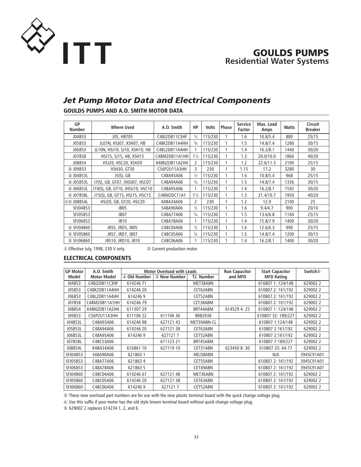

### *Jet Pump Motor Data and Electrical Components*

#### GOULDS Pumps AND A.O. SMITH MOTOR DATA

| GP<br><b>Number</b> | <b>Where Used</b>                | A.O. Smith    | HP             | <b>Volts</b> | <b>Phase</b> | <b>Service</b><br><b>Factor</b> | Max. Load<br>Amps | Watts | <b>Circuit</b><br><b>Breaker</b> |
|---------------------|----------------------------------|---------------|----------------|--------------|--------------|---------------------------------|-------------------|-------|----------------------------------|
| J04853              | J05, HB705                       | C48J2DB11C3HF | $\frac{1}{2}$  | 115/230      |              | 1.6                             | 10.8/5.4          | 880   | 25/15                            |
| J05853              | JL07N, HSJ07, XSH07, HB          | C48K2DB11A4HH | $^{3}/_{4}$    | 115/230      |              | 1.5                             | 14.8/7.4          | 1280  | 30/15                            |
| J06853              | JL10N, HSJ10, SJ10, XSH10, HB    | C48L2DB11A4HH |                | 115/230      |              | 1.4                             | 16.2/8.1          | 1440  | 30/20                            |
| J07858              | HSJ15, SJ15, HB, XSH15           | C48M2DB11A1HH | $1\frac{1}{2}$ | 115/230      |              | 1.3                             | 20.0/10.0         | 1866  | 40/20                            |
| J08854              | <b>HSJ20, HSC20, XSH20</b>       | K48N2DB11A2HH | 2              | 115/230      |              | 1.2                             | 22.6/11.3         | 2100  | 25/15                            |
| 2 J09853            | XSH30, GT30                      | C56P2U11A3HH  | 3              | 230          |              | 1.15                            | 17.2              | 3280  | 30                               |
| 2 J04853L           | $J5(S)$ , GB                     | C48A93A06     | ⅓              | 115/230      |              | 1.6                             | 10.8/5.4          | 968   | 25/15                            |
| 2 J05853L           | J7(S), GB, GT07, (H)SJ07, HSC07  | C48A94A06     | $^{3}/_{4}$    | 115/230      |              | 1.5                             | 14.8/7.4          | 1336  | 30/15                            |
| 2 J06853L           | J10(S), GB, GT10, (H)SJ10, HSC10 | C48A95A06     |                | 115/230      |              | 1.4                             | 16.2/8.1          | 1592  | 30/20                            |
| 2 J07858L           | J15(S), GB, GT15, HSJ15, HSC15   | C48M2DC11A1   | $1\frac{1}{2}$ | 115/230      |              | 1.3                             | 21.4/10.7         | 1950  | 40/20                            |
| 12 J08854L          | HSJ20, GB, GT20, HSC20           | K48A34A06     | $\mathcal{P}$  | 230          |              | 1.2                             | 12.9              | 2100  | 25                               |
| SFJ04853            | JB <sub>05</sub>                 | S48A90A06     | ⅓              | 115/230      |              | 1.6                             | 9.4/4.7           | 900   | 20/10                            |
| SFJ05853            | JB <sub>07</sub>                 | C48A77A06     | $^{3}/_{4}$    | 115/230      |              | 1.5                             | 13.6/6.8          | 1160  | 25/15                            |
| SFJ06853            | JB10                             | C48A78A06     |                | 115/230      |              | 1.4                             | 15.8/7.9          | 1400  | 30/20                            |
| 2 SFJ04860          | JRS5, JRD5, JB05                 | C48C04A06     | $\frac{1}{2}$  | 115/230      |              | 1.6                             | 12.6/6.3          | 990   | 25/15                            |
| 2 SFJ05860          | JRS7, JRD7, JB07                 | C48C05A06     | $^{3}/_{4}$    | 115/230      |              | 1.5                             | 14.8/7.4          | 1200  | 30/15                            |
| 2 SFJ06860          | JRS10, JRD10, JB10               | C48C06A06     |                | 115/230      |              | 1.4                             | 16.2/8.1          | 1400  | 30/20                            |

① Effective July, 1998, 230 V only. ② Current production motor

#### ELECTRICAL COMPONENTS

| <b>GP Motor</b> | A.O. Smith         | <b>Motor Overload with Leads</b> |              |                | <b>Run Capacitor</b> | <b>Start Capacitor</b> | <b>Switch</b> <sup>5</sup> |
|-----------------|--------------------|----------------------------------|--------------|----------------|----------------------|------------------------|----------------------------|
| Model           | <b>Motor Model</b> | 4 Old Number                     | 3 New Number | T.I. Number    | and MFD              | <b>MFD Rating</b>      |                            |
| J04853          | C48J2DB11C3HF      | 61424671                         |              | MET38ABN       |                      | 610807 1: 124/148      | 6290022                    |
| J05853          | C48K2DB11A4HH      | 61424620                         |              | CET63ABN       |                      | 610807 2: 161/192      | 6290022                    |
| J06853          | C48L2DB11A4HH      | 6142469                          |              | CET52ABN       |                      | 610807 2: 161/192      | 6290022                    |
| J07858          | C48M2DB11A1HH      | 61424679                         |              | CET38ABM       |                      | 610807 2: 161/192      | 6290022                    |
| J08854          | K48N2DB11A2HH      | 611307 29                        |              | BRT44ABM       | 614529 4:25          | 610807 1: 124/148      | 6290022                    |
| J09853          | C56P2U11A3HH       | 61110622                         | 61110636     | <b>BRB2938</b> |                      | 610807 32: 189/227     | 6290022                    |
| J04853L         | C48A93A06          | 61424698                         | 62712143     | MET39ABN-CL    |                      | 610807 1:124/148       | 6290022                    |
| J05853L         | C48A94A06          | 61424620                         | 62712138     | CET63ABN       |                      | 610807 2:161/192       | 6290022                    |
| J06853L         | C48A95A06          | 6142469                          | 6271217      | CET52ABN       |                      | 610807 2:161/192       | 6290022                    |
| J07858L         | C48C53A06          |                                  | 611123 21    | BRT45ABM       |                      | 610807 7:189/227       | 6290022                    |
| J08854L         | K48A34A06          | 61686110                         | 627119 10    | CET31ABN       | 623450 8:30          | 610807 33: 64-77       | 6290022                    |
| SFJ04853        | S48A90A06          | 6218631                          |              | MEJ38ABN       |                      | N/A                    | 3945C91A01                 |
| SFJ05853        | C48A77A06          | 6218634                          |              | CET55ABN       |                      | 610807 2: 161/192      | 3945C91A01                 |
| SFJ06853        | C48A78A06          | 6218635                          |              | CET49ABN       |                      | 610807 2: 161/192      | 3945C91A01                 |
| SFJ04860        | C48C04A06          | 614246 67                        | 62712148     | MET36ABN       |                      | 610807 2: 161/192      | 6290022                    |
| SFJ05860        | C48C05A06          | 61424620                         | 62712138     | CET63ABN       |                      | 610807 2: 161/192      | 6290022                    |
| SFJ06860        | C48C06A06          | 6142469                          | 6271217      | CET52ABN       |                      | 610807 2: 161/192      | 6290022                    |

③ These new overload part numbers are for use with the new plastic terminal board with the quick change voltage plug.

 $\circledast$  Use this suffix if your motor has the old style brown terminal board without quick change voltage plug.

⑤ 629002 2 replaces 614234 1, 2, and 6.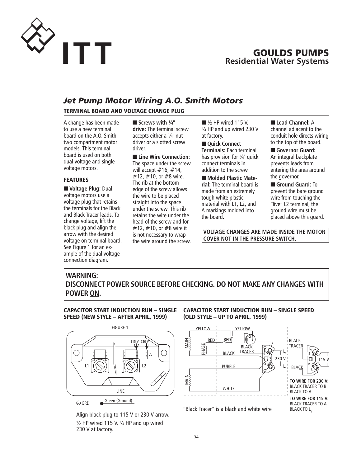

### *Jet Pump Motor Wiring A.O. Smith Motors*

#### terminal board and voltage change plug

A change has been made to use a new terminal board on the A.O. Smith two compartment motor models. This terminal board is used on both dual voltage and single voltage motors.

#### **FEATURES**

■ **Voltage Plug:** Dual voltage motors use a voltage plug that retains the terminals for the Black and Black Tracer leads. To change voltage, lift the black plug and align the arrow with the desired voltage on terminal board. See Figure 1 for an example of the dual voltage connection diagram.

■ **Screws with ¼" drive:** The terminal screw accepts either a ¼" nut driver or a slotted screw driver.

■ Line Wire Connection: The space under the screw will accept  $#16, #14,$ #12, #10, or #8 wire. The rib at the bottom edge of the screw allows the wire to be placed straight into the space under the screw. This rib retains the wire under the head of the screw and for #12, #10, or #8 wire it is not necessary to wrap the wire around the screw.

 $\blacksquare$  1/2 HP wired 115 V. ¾ HP and up wired 230 V at factory.

■ **Quick Connect Terminals:** Each terminal has provision for 1/4" quick connect terminals in addition to the screw.

■ **Molded Plastic Material:** The terminal board is made from an extremely tough white plastic material with L1, L2, and A markings molded into the board.

■ **Lead Channel: A** channel adjacent to the conduit hole directs wiring to the top of the board.

■ Governor Guard: An integral backplate prevents leads from entering the area around the governor.

■ **Ground Guard:** To prevent the bare ground wire from touching the "live" L2 terminal, the ground wire must be placed above this guard.

**voltage changes are made inside the motor cover not in the pressure switch.**

### **WARNING: DISCONNECT POWER SOURCE BEFORE CHECKING. DO NOT MAKE ANY CHANGES WITH POWER ON.**

#### capacitor start induction run – single speed (new style – after april, 1999)



Align black plug to 115 V or 230 V arrow.  $\frac{1}{2}$  HP wired 115 V,  $\frac{3}{4}$  HP and up wired 230 V at factory.

#### capacitor start induction run – single speed (old style – up to april, 1999)



"Black Tracer" is a black and white wire

BLACK TRACER TO A BLACK TO L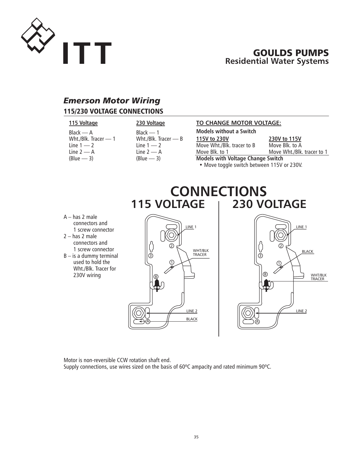

## 115/230 VOLTAGE CONNECTIONS *Emerson Motor Wiring*

| 115 Voltage           |  |  |
|-----------------------|--|--|
| $Black - A$           |  |  |
| Wht./Blk. Tracer $-1$ |  |  |
| $line 1 - 2$          |  |  |
| Line $2 - A$          |  |  |
| $(Blue - 3)$          |  |  |

| 230 Voltage          |  |  |
|----------------------|--|--|
| $Black - 1$          |  |  |
| Wht./Blk. Tracer — B |  |  |
| $line 1 - 2$         |  |  |
| line 2 — A           |  |  |
| $(Blue - 3)$         |  |  |

#### **115 Voltage 230 Voltage To Change motor Voltage:**

| Black — A            | $Black - 1$            | <b>Models without a Switch</b>             |                            |  |
|----------------------|------------------------|--------------------------------------------|----------------------------|--|
| Wht./Blk. Tracer — 1 | Wht./Blk. Tracer $-$ B | 115V to 230V                               | 230V to 115V               |  |
| Line 1 $-$ 2         | $line 1 - 2$           | Move Wht./Blk. tracer to B                 | Move Blk. to A             |  |
| Line 2 — A           | Line $2 - A$           | Move Blk. to 1                             | Move Wht./Blk. tracer to 1 |  |
| (Blue — 3)           | $(Blue - 3)$           | <b>Models with Voltage Change Switch</b>   |                            |  |
|                      |                        | $M$ aya taqqla switch batwaan 115V or 220V |                            |  |

• Move toggle switch between 115V or 230V.



Motor is non-reversible CCW rotation shaft end.

Supply connections, use wires sized on the basis of 60ºC ampacity and rated minimum 90ºC.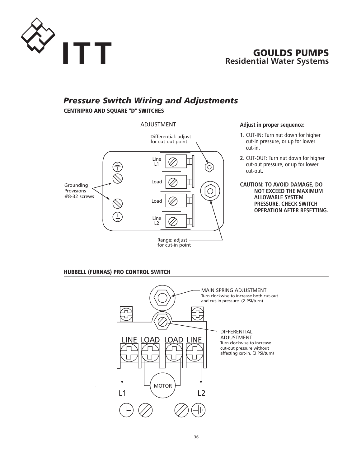

### *Pressure Switch Wiring and Adjustments*

Centripro and SQUARE "D" SWITCHES



#### **Adjust in proper sequence:**

- **1.** CUT-IN: Turn nut down for higher cut-in pressure, or up for lower cut-in.
- **2.** CUT-OUT: Turn nut down for higher cut-out pressure, or up for lower cut-out.
- **CAUTION: TO AVOID DAMAGE, DO NOT EXCEED THE MAXIMUM ALLOWABLE SYSTEM PRESSURE. CHECK SWITCH OPERATION AFTER RESETTING.**

#### hubbell (FURNAS) PRO CONTROL switch

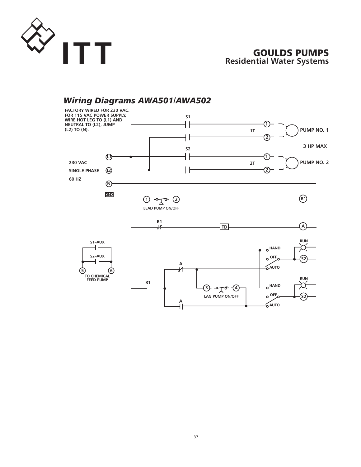

### *Wiring Diagrams AWA501/AWA502*

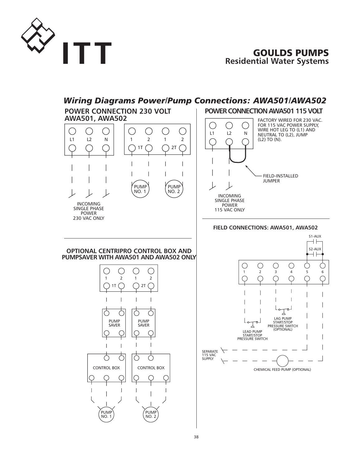

## *Wiring Diagrams Power/Pump Connections: AWA501/AWA502*

**POWER CONNECTION AWA501 115 VOLT POWER CONNECTION 230 VOLT AWA501, AWA502** FACTORY WIRED FOR 230 VAC. FOR 115 VAC POWER SUPPLY, WIRE HOT LEG TO (L1) AND  $(\ )$ L1 L2 N NEUTRAL TO (L2), JUMP L1 L2 N | | 1 2 1 2 (L2) TO (N). 1T  $\bigcap$  2T  $\overline{\phantom{a}}$ I  $\overline{\phantom{a}}$  $\overline{\phantom{a}}$  $\overline{\phantom{a}}$ FIELD-INSTALLED JUMPER PUMP PUMP NO. 1 NO. 2 INCOMING SINGLE PHASE INCOMING POWER SINGLE PHASE 115 VAC ONLY **POWER** 230 VAC ONLY **FIELD CONNECTIONS: AWA501, AWA502** S1-AUX  $++$ S2-AUX **OPTIONAL CENTRIPRO CONTROL BOX AND** ΗF **PUMPSAVER WITH AWA501 AND AWA502 ONLY**  $\bigcirc$  $\bigcirc$  $\bigcirc$  $\bigcirc$ O  $\left(\right)$ ◯ C  $(\; )$ 5 6 1 2 3 4  $\bigcirc$  $\bigcirc$  $\bigcirc$  $\bigcirc$  $\bigcirc$ ∩ 1 2 1 2 1T  $\bigcap$   $\bigcap$  2T  $\bigcap$  $\overline{1}$  $\overline{\phantom{a}}$  $\overline{\phantom{a}}$  $\overline{\phantom{a}}$ I  $\overline{\phantom{a}}$  $\overline{\phantom{a}}$  $\overline{\phantom{a}}$  $\overline{\phantom{a}}$  $\overline{\phantom{a}}$  $\overline{\phantom{a}}$  $\overline{\phantom{a}}$  $\bigcap$ ♦ ♦ Ċ LAG PUMP START/STOP PRESSURE SWITCH PUMP PUMP  $\overline{\phantom{a}}$ Ι. Ţ SAVER SAVER (OPTIONAL) LEAD PUMP START/STOP PRESSURE SWITCH  $\overline{\phantom{a}}$  $\overline{\phantom{a}}$ I  $\overline{\phantom{a}}$  $\overline{\phantom{a}}$ SEPARATE<br>115 VAC<br>SUPPLY  $\bigcirc$ Ò Ò ∩ CONTROL BOX | CONTROL BOX CHEMICAL FEED PUMP (OPTIONAL)  $\overline{\phantom{a}}$  $\mathbf{I}$  $\overline{\phantom{a}}$  $\overline{\mathfrak{l}}$ 

PUMP NO. 1 PUMP NO. 2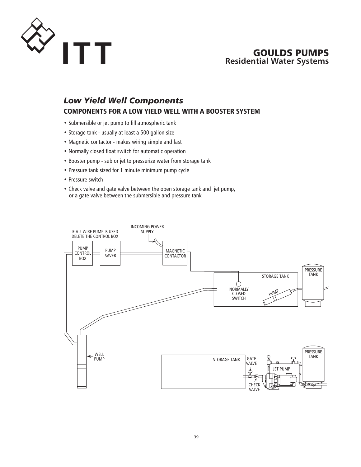

## COMPONENTS FOR A LOW YIELD WELL WITH A BOOSTER SYSTEM *Low Yield Well Components*

- Submersible or jet pump to fill atmospheric tank
- Storage tank usually at least a 500 gallon size
- Magnetic contactor makes wiring simple and fast
- Normally closed float switch for automatic operation
- Booster pump sub or jet to pressurize water from storage tank
- Pressure tank sized for 1 minute minimum pump cycle
- Pressure switch
- Check valve and gate valve between the open storage tank and jet pump, or a gate valve between the submersible and pressure tank

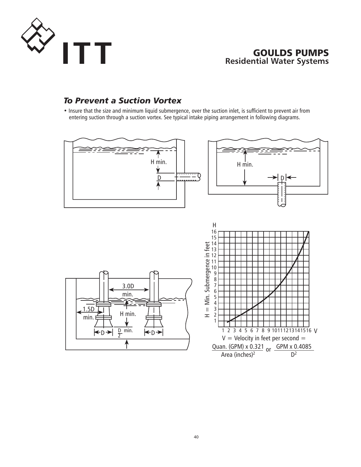

### *To Prevent a Suction Vortex*

• Insure that the size and minimum liquid submergence, over the suction inlet, is sufficient to prevent air from entering suction through a suction vortex. See typical intake piping arrangement in following diagrams.

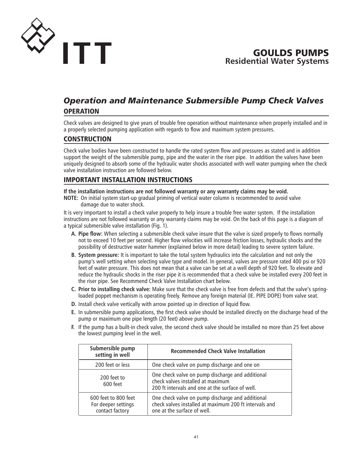

## **OPERATION** *Operation and Maintenance Submersible Pump Check Valves*

Check valves are designed to give years of trouble free operation without maintenance when properly installed and in a properly selected pumping application with regards to flow and maximum system pressures.

#### **CONSTRUCTION**

Check valve bodies have been constructed to handle the rated system flow and pressures as stated and in addition support the weight of the submersible pump, pipe and the water in the riser pipe. In addition the valves have been uniquely designed to absorb some of the hydraulic water shocks associated with well water pumping when the check valve installation instruction are followed below.

#### important installation instructions

**If the installation instructions are not followed warranty or any warranty claims may be void.**

**NOTE:** On initial system start-up gradual priming of vertical water column is recommended to avoid valve damage due to water shock.

It is very important to install a check valve properly to help insure a trouble free water system. If the installation instructions are not followed warranty or any warranty claims may be void. On the back of this page is a diagram of a typical submersible valve installation (Fig. 1).

- **A. Pipe flow:** When selecting a submersible check valve insure that the valve is sized properly to flows normally not to exceed 10 feet per second. Higher flow velocities will increase friction losses, hydraulic shocks and the possibility of destructive water hammer (explained below in more detail) leading to severe system failure.
- **B. System pressure:** It is important to take the total system hydraulics into the calculation and not only the pump's well setting when selecting valve type and model. In general, valves are pressure rated 400 psi or 920 feet of water pressure. This does not mean that a valve can be set at a well depth of 920 feet. To elevate and reduce the hydraulic shocks in the riser pipe it is recommended that a check valve be installed every 200 feet in the riser pipe. See Recommend Check Valve Installation chart below.
- **C. Prior to installing check valve:** Make sure that the check valve is free from defects and that the valve's springloaded poppet mechanism is operating freely. Remove any foreign material (IE. PIPE DOPE) from valve seat.
- **D.** Install check valve vertically with arrow pointed up in direction of liquid flow.
- **E.** In submersible pump applications, the first check valve should be installed directly on the discharge head of the pump or maximum one pipe length (20 feet) above pump.
- **F.** If the pump has a built-in check valve, the second check valve should be installed no more than 25 feet above the lowest pumping level in the well.

| Submersible pump<br>setting in well                            | <b>Recommended Check Valve Installation</b>                                                                                               |  |
|----------------------------------------------------------------|-------------------------------------------------------------------------------------------------------------------------------------------|--|
| 200 feet or less                                               | One check valve on pump discharge and one on                                                                                              |  |
| 200 feet to<br>600 feet                                        | One check valve on pump discharge and additional<br>check valves installed at maximum<br>200 ft intervals and one at the surface of well. |  |
| 600 feet to 800 feet<br>For deeper settings<br>contact factory | One check valve on pump discharge and additional<br>check valves installed at maximum 200 ft intervals and<br>one at the surface of well. |  |